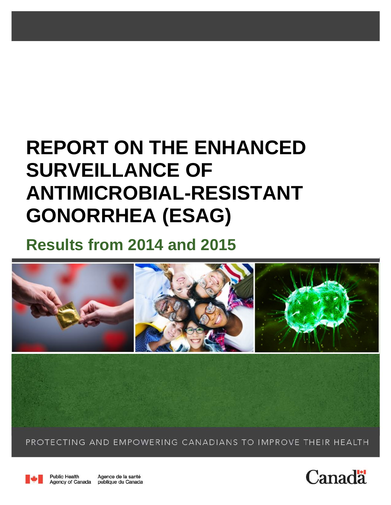# **REPORT ON THE ENHANCED SURVEILLANCE OF ANTIMICROBIAL-RESISTANT GONORRHEA (ESAG)**

# **Results from 2014 and 2015**



PROTECTING AND EMPOWERING CANADIANS TO IMPROVE THEIR HEALTH



**Public Health** Agence de la santé Agency of Canada publique du Canada

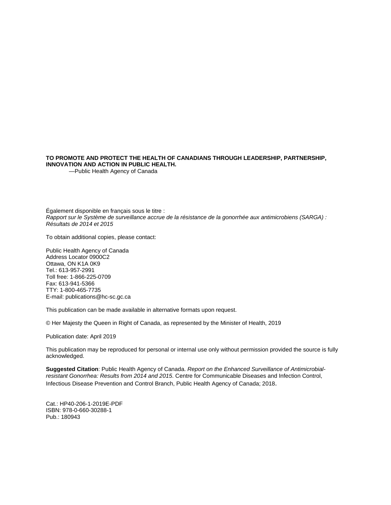#### **TO PROMOTE AND PROTECT THE HEALTH OF CANADIANS THROUGH LEADERSHIP, PARTNERSHIP, INNOVATION AND ACTION IN PUBLIC HEALTH.**

—Public Health Agency of Canada

Également disponible en français sous le titre : *Rapport sur le Système de surveillance accrue de la résistance de la gonorrhée aux antimicrobiens (SARGA) : Résultats de 2014 et 2015*

To obtain additional copies, please contact:

Public Health Agency of Canada Address Locator 0900C2 Ottawa, ON K1A 0K9 Tel.: 613-957-2991 Toll free: 1-866-225-0709 Fax: 613-941-5366 TTY: 1-800-465-7735 E-mail: publications@hc-sc.gc.ca

This publication can be made available in alternative formats upon request.

© Her Majesty the Queen in Right of Canada, as represented by the Minister of Health, 2019

Publication date: April 2019

This publication may be reproduced for personal or internal use only without permission provided the source is fully acknowledged.

**Suggested Citation**: Public Health Agency of Canada. *Report on the Enhanced Surveillance of Antimicrobialresistant Gonorrhea: Results from 2014 and 2015*. Centre for Communicable Diseases and Infection Control, Infectious Disease Prevention and Control Branch, Public Health Agency of Canada; 2018.

Cat.: HP40-206-1-2019E-PDF ISBN: 978-0-660-30288-1 Pub.: 180943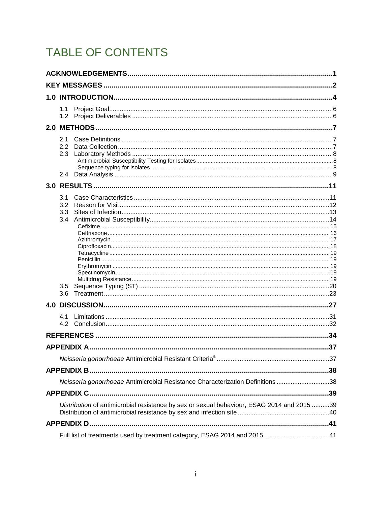# TABLE OF CONTENTS

| 1.1              |                                                                                            |     |
|------------------|--------------------------------------------------------------------------------------------|-----|
| 1.2 <sub>1</sub> |                                                                                            |     |
|                  |                                                                                            |     |
| 2.1<br>2.2       |                                                                                            |     |
| 2.3              |                                                                                            |     |
|                  |                                                                                            |     |
|                  |                                                                                            |     |
|                  |                                                                                            |     |
|                  |                                                                                            |     |
| 3.1<br>3.2       |                                                                                            |     |
| 3.3              |                                                                                            |     |
| 3.4              |                                                                                            |     |
|                  |                                                                                            |     |
|                  |                                                                                            |     |
|                  |                                                                                            |     |
|                  |                                                                                            |     |
|                  |                                                                                            |     |
|                  |                                                                                            |     |
| 3.5<br>3.6       |                                                                                            |     |
|                  |                                                                                            |     |
|                  |                                                                                            | .27 |
| 4.1              |                                                                                            |     |
|                  |                                                                                            |     |
|                  |                                                                                            | .34 |
|                  |                                                                                            | 37  |
|                  |                                                                                            |     |
|                  |                                                                                            |     |
|                  | Neisseria gonorrhoeae Antimicrobial Resistance Characterization Definitions 38             |     |
|                  |                                                                                            |     |
|                  | Distribution of antimicrobial resistance by sex or sexual behaviour, ESAG 2014 and 2015 39 |     |
|                  |                                                                                            |     |
|                  |                                                                                            |     |
|                  | Full list of treatments used by treatment category, ESAG 2014 and 2015 41                  |     |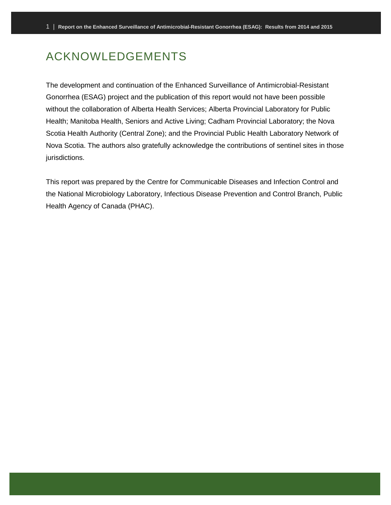# <span id="page-3-0"></span>ACKNOWLEDGEMENTS

The development and continuation of the Enhanced Surveillance of Antimicrobial-Resistant Gonorrhea (ESAG) project and the publication of this report would not have been possible without the collaboration of Alberta Health Services; Alberta Provincial Laboratory for Public Health; Manitoba Health, Seniors and Active Living; Cadham Provincial Laboratory; the Nova Scotia Health Authority (Central Zone); and the Provincial Public Health Laboratory Network of Nova Scotia. The authors also gratefully acknowledge the contributions of sentinel sites in those jurisdictions.

This report was prepared by the Centre for Communicable Diseases and Infection Control and the National Microbiology Laboratory, Infectious Disease Prevention and Control Branch, Public Health Agency of Canada (PHAC).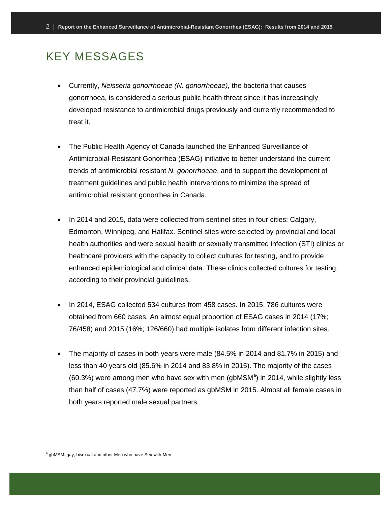### <span id="page-4-0"></span>KEY MESSAGES

- Currently, *Neisseria gonorrhoeae (N. gonorrhoeae),* the bacteria that causes gonorrhoea, is considered a serious public health threat since it has increasingly developed resistance to antimicrobial drugs previously and currently recommended to treat it.
- The Public Health Agency of Canada launched the Enhanced Surveillance of Antimicrobial-Resistant Gonorrhea (ESAG) initiative to better understand the current trends of antimicrobial resistant *N. gonorrhoeae*, and to support the development of treatment guidelines and public health interventions to minimize the spread of antimicrobial resistant gonorrhea in Canada.
- In 2014 and 2015, data were collected from sentinel sites in four cities: Calgary, Edmonton, Winnipeg, and Halifax. Sentinel sites were selected by provincial and local health authorities and were sexual health or sexually transmitted infection (STI) clinics or healthcare providers with the capacity to collect cultures for testing, and to provide enhanced epidemiological and clinical data. These clinics collected cultures for testing, according to their provincial guidelines.
- In 2014, ESAG collected 534 cultures from 458 cases. In 2015, 786 cultures were obtained from 660 cases. An almost equal proportion of ESAG cases in 2014 (17%; 76/458) and 2015 (16%; 126/660) had multiple isolates from different infection sites.
- The majority of cases in both years were male (84.5% in 2014 and 81.7% in 2015) and less than 40 years old (85.6% in 2014 and 83.8% in 2015). The majority of the cases  $(60.3%)$  were [a](#page-4-1)mong men who have sex with men  $(gbMSM<sup>a</sup>)$  in 2014, while slightly less than half of cases (47.7%) were reported as gbMSM in 2015. Almost all female cases in both years reported male sexual partners.

 $\overline{a}$ 

<span id="page-4-1"></span>a gbMSM: gay, bisexual and other Men who have Sex with Men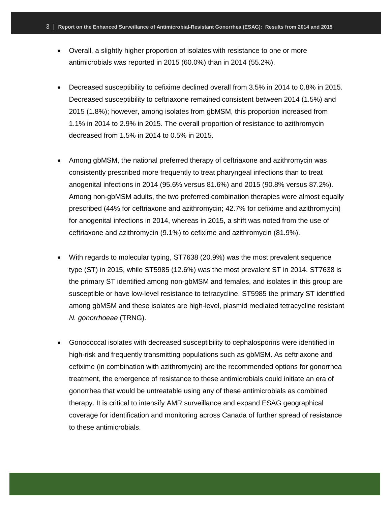- Overall, a slightly higher proportion of isolates with resistance to one or more antimicrobials was reported in 2015 (60.0%) than in 2014 (55.2%).
- Decreased susceptibility to cefixime declined overall from 3.5% in 2014 to 0.8% in 2015. Decreased susceptibility to ceftriaxone remained consistent between 2014 (1.5%) and 2015 (1.8%); however, among isolates from gbMSM, this proportion increased from 1.1% in 2014 to 2.9% in 2015. The overall proportion of resistance to azithromycin decreased from 1.5% in 2014 to 0.5% in 2015.
- Among gbMSM, the national preferred therapy of ceftriaxone and azithromycin was consistently prescribed more frequently to treat pharyngeal infections than to treat anogenital infections in 2014 (95.6% versus 81.6%) and 2015 (90.8% versus 87.2%). Among non-gbMSM adults, the two preferred combination therapies were almost equally prescribed (44% for ceftriaxone and azithromycin; 42.7% for cefixime and azithromycin) for anogenital infections in 2014, whereas in 2015, a shift was noted from the use of ceftriaxone and azithromycin (9.1%) to cefixime and azithromycin (81.9%).
- With regards to molecular typing, ST7638 (20.9%) was the most prevalent sequence type (ST) in 2015, while ST5985 (12.6%) was the most prevalent ST in 2014. ST7638 is the primary ST identified among non-gbMSM and females, and isolates in this group are susceptible or have low-level resistance to tetracycline. ST5985 the primary ST identified among gbMSM and these isolates are high-level, plasmid mediated tetracycline resistant *N. gonorrhoeae* (TRNG).
- Gonococcal isolates with decreased susceptibility to cephalosporins were identified in high-risk and frequently transmitting populations such as gbMSM. As ceftriaxone and cefixime (in combination with azithromycin) are the recommended options for gonorrhea treatment, the emergence of resistance to these antimicrobials could initiate an era of gonorrhea that would be untreatable using any of these antimicrobials as combined therapy. It is critical to intensify AMR surveillance and expand ESAG geographical coverage for identification and monitoring across Canada of further spread of resistance to these antimicrobials.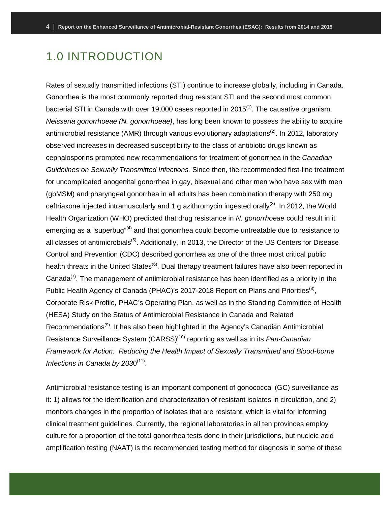## <span id="page-6-0"></span>1.0 INTRODUCTION

Rates of sexually transmitted infections (STI) continue to increase globally, including in Canada. Gonorrhea is the most commonly reported drug resistant STI and the second most common bacterial STI in Canada with over 19,000 cases reported in  $2015<sup>(1)</sup>$ . The causative organism, *Neisseria gonorrhoeae (N. gonorrhoeae)*, has long been known to possess the ability to acquire antimicrobial resistance (AMR) through various evolutionary adaptations<sup>(2)</sup>. In 2012, laboratory observed increases in decreased susceptibility to the class of antibiotic drugs known as cephalosporins prompted new recommendations for treatment of gonorrhea in the *Canadian Guidelines on Sexually Transmitted Infections.* Since then, the recommended first-line treatment for uncomplicated anogenital gonorrhea in gay, bisexual and other men who have sex with men (gbMSM) and pharyngeal gonorrhea in all adults has been combination therapy with 250 mg ceftriaxone injected intramuscularly and 1 g azithromycin ingested orally<sup>(3)</sup>. In 2012, the World Health Organization (WHO) predicted that drug resistance in *N. gonorrhoeae* could result in it emerging as a "superbug"<sup>(4)</sup> and that gonorrhea could become untreatable due to resistance to all classes of antimicrobials<sup>(5)</sup>. Additionally, in 2013, the Director of the US Centers for Disease Control and Prevention (CDC) described gonorrhea as one of the three most critical public health threats in the United States<sup>(6)</sup>. Dual therapy treatment failures have also been reported in Canada<sup>(7)</sup>. The management of antimicrobial resistance has been identified as a priority in the Public Health Agency of Canada (PHAC)'s 2017-2018 Report on Plans and Priorities<sup>(8)</sup>, Corporate Risk Profile, PHAC's Operating Plan, as well as in the Standing Committee of Health (HESA) Study on the Status of Antimicrobial Resistance in Canada and Related Recommendations<sup>(9)</sup>. It has also been highlighted in the Agency's Canadian Antimicrobial Resistance Surveillance System (CARSS)(10) reporting as well as in its *Pan-Canadian Framework for Action: Reducing the Health Impact of Sexually Transmitted and Blood-borne Infections in Canada by 2030*<sup>(11)</sup>.

Antimicrobial resistance testing is an important component of gonococcal (GC) surveillance as it: 1) allows for the identification and characterization of resistant isolates in circulation, and 2) monitors changes in the proportion of isolates that are resistant, which is vital for informing clinical treatment guidelines. Currently, the regional laboratories in all ten provinces employ culture for a proportion of the total gonorrhea tests done in their jurisdictions, but nucleic acid amplification testing (NAAT) is the recommended testing method for diagnosis in some of these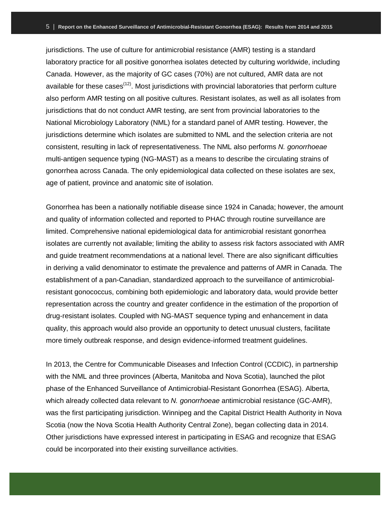jurisdictions. The use of culture for antimicrobial resistance (AMR) testing is a standard laboratory practice for all positive gonorrhea isolates detected by culturing worldwide, including Canada. However, as the majority of GC cases (70%) are not cultured, AMR data are not available for these cases<sup> $(12)$ </sup>. Most jurisdictions with provincial laboratories that perform culture also perform AMR testing on all positive cultures. Resistant isolates, as well as all isolates from jurisdictions that do not conduct AMR testing, are sent from provincial laboratories to the National Microbiology Laboratory (NML) for a standard panel of AMR testing. However, the jurisdictions determine which isolates are submitted to NML and the selection criteria are not consistent, resulting in lack of representativeness. The NML also performs *N. gonorrhoeae* multi-antigen sequence typing (NG-MAST) as a means to describe the circulating strains of gonorrhea across Canada. The only epidemiological data collected on these isolates are sex, age of patient, province and anatomic site of isolation.

Gonorrhea has been a nationally notifiable disease since 1924 in Canada; however, the amount and quality of information collected and reported to PHAC through routine surveillance are limited. Comprehensive national epidemiological data for antimicrobial resistant gonorrhea isolates are currently not available; limiting the ability to assess risk factors associated with AMR and guide treatment recommendations at a national level. There are also significant difficulties in deriving a valid denominator to estimate the prevalence and patterns of AMR in Canada. The establishment of a pan-Canadian, standardized approach to the surveillance of antimicrobialresistant gonococcus, combining both epidemiologic and laboratory data, would provide better representation across the country and greater confidence in the estimation of the proportion of drug-resistant isolates. Coupled with NG-MAST sequence typing and enhancement in data quality, this approach would also provide an opportunity to detect unusual clusters, facilitate more timely outbreak response, and design evidence-informed treatment guidelines.

In 2013, the Centre for Communicable Diseases and Infection Control (CCDIC), in partnership with the NML and three provinces (Alberta, Manitoba and Nova Scotia), launched the pilot phase of the Enhanced Surveillance of Antimicrobial-Resistant Gonorrhea (ESAG). Alberta, which already collected data relevant to *N. gonorrhoeae* antimicrobial resistance (GC-AMR), was the first participating jurisdiction. Winnipeg and the Capital District Health Authority in Nova Scotia (now the Nova Scotia Health Authority Central Zone), began collecting data in 2014. Other jurisdictions have expressed interest in participating in ESAG and recognize that ESAG could be incorporated into their existing surveillance activities.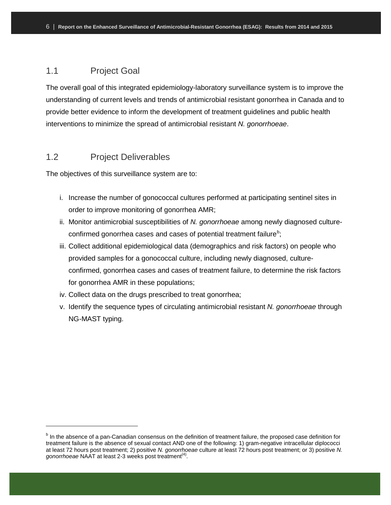### <span id="page-8-0"></span>1.1 Project Goal

The overall goal of this integrated epidemiology-laboratory surveillance system is to improve the understanding of current levels and trends of antimicrobial resistant gonorrhea in Canada and to provide better evidence to inform the development of treatment guidelines and public health interventions to minimize the spread of antimicrobial resistant *N. gonorrhoeae*.

### <span id="page-8-1"></span>1.2 Project Deliverables

 $\overline{a}$ 

The objectives of this surveillance system are to:

- i. Increase the number of gonococcal cultures performed at participating sentinel sites in order to improve monitoring of gonorrhea AMR;
- ii. Monitor antimicrobial susceptibilities of *N. gonorrhoeae* among newly diagnosed cultureconfirmed gonorrhea cases and cases of potential treatment failure $^{\rm b}$  $^{\rm b}$  $^{\rm b}$ ;
- iii. Collect additional epidemiological data (demographics and risk factors) on people who provided samples for a gonococcal culture, including newly diagnosed, cultureconfirmed, gonorrhea cases and cases of treatment failure, to determine the risk factors for gonorrhea AMR in these populations;
- iv. Collect data on the drugs prescribed to treat gonorrhea;
- v. Identify the sequence types of circulating antimicrobial resistant *N. gonorrhoeae* through NG-MAST typing.

<span id="page-8-2"></span> $<sup>b</sup>$  In the absence of a pan-Canadian consensus on the definition of treatment failure, the proposed case definition for</sup> treatment failure is the absence of sexual contact AND one of the following: 1) gram-negative intracellular diplococci at least 72 hours post treatment; 2) positive *N. gonorrhoeae* culture at least 72 hours post treatment; or 3) positive *N. gonorrhoeae* NAAT at least 2-3 weeks post treatment<sup>(4)</sup>.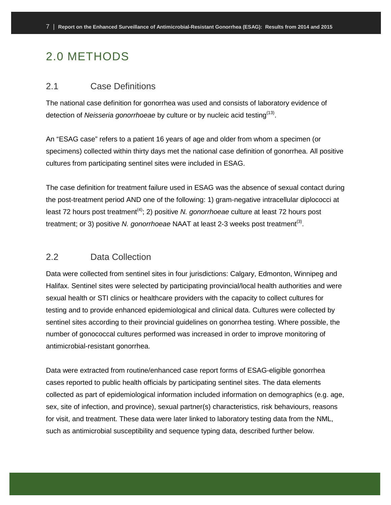# <span id="page-9-0"></span>2.0 METHODS

#### <span id="page-9-1"></span>2.1 Case Definitions

The national case definition for gonorrhea was used and consists of laboratory evidence of detection of *Neisseria gonorrhoeae* by culture or by nucleic acid testing<sup>(13)</sup>.

An "ESAG case" refers to a patient 16 years of age and older from whom a specimen (or specimens) collected within thirty days met the national case definition of gonorrhea. All positive cultures from participating sentinel sites were included in ESAG.

The case definition for treatment failure used in ESAG was the absence of sexual contact during the post-treatment period AND one of the following: 1) gram-negative intracellular diplococci at least 72 hours post treatment<sup>(4)</sup>; 2) positive *N. gonorrhoeae* culture at least 72 hours post treatment; or 3) positive *N. gonorrhoeae* NAAT at least 2-3 weeks post treatment<sup>(3)</sup>.

#### <span id="page-9-2"></span>2.2 Data Collection

Data were collected from sentinel sites in four jurisdictions: Calgary, Edmonton, Winnipeg and Halifax. Sentinel sites were selected by participating provincial/local health authorities and were sexual health or STI clinics or healthcare providers with the capacity to collect cultures for testing and to provide enhanced epidemiological and clinical data. Cultures were collected by sentinel sites according to their provincial guidelines on gonorrhea testing. Where possible, the number of gonococcal cultures performed was increased in order to improve monitoring of antimicrobial-resistant gonorrhea.

Data were extracted from routine/enhanced case report forms of ESAG-eligible gonorrhea cases reported to public health officials by participating sentinel sites. The data elements collected as part of epidemiological information included information on demographics (e.g. age, sex, site of infection, and province), sexual partner(s) characteristics, risk behaviours, reasons for visit, and treatment. These data were later linked to laboratory testing data from the NML, such as antimicrobial susceptibility and sequence typing data, described further below.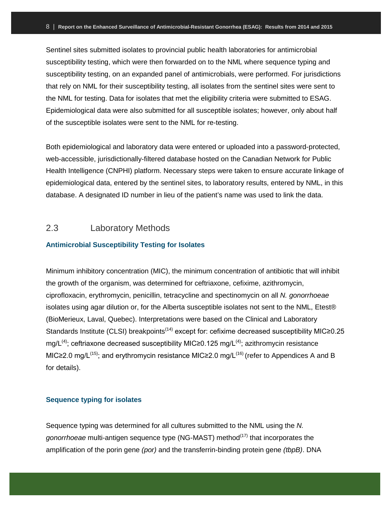Sentinel sites submitted isolates to provincial public health laboratories for antimicrobial susceptibility testing, which were then forwarded on to the NML where sequence typing and susceptibility testing, on an expanded panel of antimicrobials, were performed. For jurisdictions that rely on NML for their susceptibility testing, all isolates from the sentinel sites were sent to the NML for testing. Data for isolates that met the eligibility criteria were submitted to ESAG. Epidemiological data were also submitted for all susceptible isolates; however, only about half of the susceptible isolates were sent to the NML for re-testing.

Both epidemiological and laboratory data were entered or uploaded into a password-protected, web-accessible, jurisdictionally-filtered database hosted on the Canadian Network for Public Health Intelligence (CNPHI) platform. Necessary steps were taken to ensure accurate linkage of epidemiological data, entered by the sentinel sites, to laboratory results, entered by NML, in this database. A designated ID number in lieu of the patient's name was used to link the data.

#### <span id="page-10-0"></span>2.3 Laboratory Methods

#### <span id="page-10-1"></span>**Antimicrobial Susceptibility Testing for Isolates**

Minimum inhibitory concentration (MIC), the minimum concentration of antibiotic that will inhibit the growth of the organism, was determined for ceftriaxone, cefixime, azithromycin, ciprofloxacin, erythromycin, penicillin, tetracycline and spectinomycin on all *N. gonorrhoeae* isolates using agar dilution or, for the Alberta susceptible isolates not sent to the NML, Etest® (BioMerieux, Laval, Quebec). Interpretations were based on the Clinical and Laboratory Standards Institute (CLSI) breakpoints<sup> $(14)$ </sup> except for: cefixime decreased susceptibility MIC≥0.25 mg/L<sup>(4)</sup>; ceftriaxone decreased susceptibility MIC≥0.125 mg/L<sup>(4)</sup>; azithromycin resistance MIC≥2.0 mg/L<sup>(15)</sup>; and erythromycin resistance MIC≥2.0 mg/L<sup>(16)</sup> (refer to Appendices A and B for details).

#### <span id="page-10-2"></span>**Sequence typing for isolates**

Sequence typing was determined for all cultures submitted to the NML using the *N. gonorrhoeae* multi-antigen sequence type (NG-MAST) method<sup>(17)</sup> that incorporates the amplification of the porin gene *(por)* and the transferrin-binding protein gene *(tbpB)*. DNA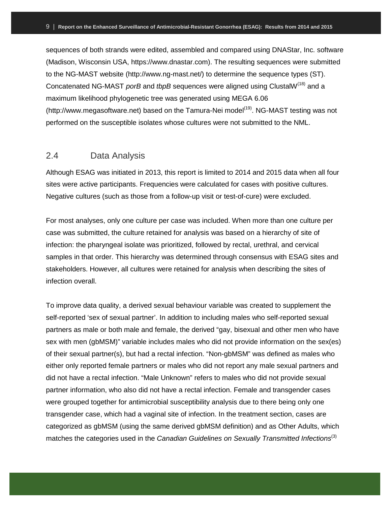sequences of both strands were edited, assembled and compared using DNAStar, Inc. software (Madison, Wisconsin USA, https://www.dnastar.com). The resulting sequences were submitted to the NG-MAST website (http://www.ng-mast.net/) to determine the sequence types (ST). Concatenated NG-MAST *porB* and *tbpB* sequences were aligned using ClustalW(18) and a maximum likelihood phylogenetic tree was generated using MEGA 6.06 (http://www.megasoftware.net) based on the Tamura-Nei model<sup>(19)</sup>. NG-MAST testing was not performed on the susceptible isolates whose cultures were not submitted to the NML.

### <span id="page-11-0"></span>2.4 Data Analysis

Although ESAG was initiated in 2013, this report is limited to 2014 and 2015 data when all four sites were active participants. Frequencies were calculated for cases with positive cultures. Negative cultures (such as those from a follow-up visit or test-of-cure) were excluded.

For most analyses, only one culture per case was included. When more than one culture per case was submitted, the culture retained for analysis was based on a hierarchy of site of infection: the pharyngeal isolate was prioritized, followed by rectal, urethral, and cervical samples in that order. This hierarchy was determined through consensus with ESAG sites and stakeholders. However, all cultures were retained for analysis when describing the sites of infection overall.

To improve data quality, a derived sexual behaviour variable was created to supplement the self-reported 'sex of sexual partner'. In addition to including males who self-reported sexual partners as male or both male and female, the derived "gay, bisexual and other men who have sex with men (gbMSM)" variable includes males who did not provide information on the sex(es) of their sexual partner(s), but had a rectal infection. "Non-gbMSM" was defined as males who either only reported female partners or males who did not report any male sexual partners and did not have a rectal infection. "Male Unknown" refers to males who did not provide sexual partner information, who also did not have a rectal infection. Female and transgender cases were grouped together for antimicrobial susceptibility analysis due to there being only one transgender case, which had a vaginal site of infection. In the treatment section, cases are categorized as gbMSM (using the same derived gbMSM definition) and as Other Adults, which matches the categories used in the *Canadian Guidelines on Sexually Transmitted Infections*<sup>(3)</sup>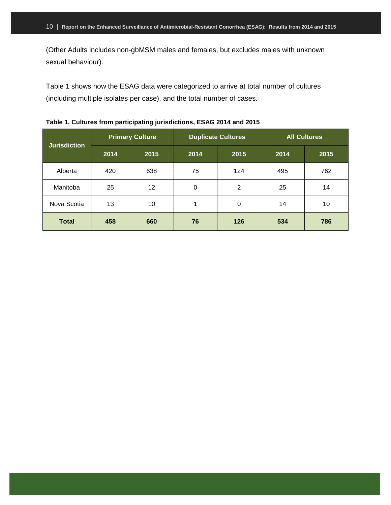(Other Adults includes non-gbMSM males and females, but excludes males with unknown sexual behaviour).

Table 1 shows how the ESAG data were categorized to arrive at total number of cultures (including multiple isolates per case), and the total number of cases.

| <b>Jurisdiction</b> |      | <b>Primary Culture</b> |    | <b>Duplicate Cultures</b> | <b>All Cultures</b> |      |  |  |
|---------------------|------|------------------------|----|---------------------------|---------------------|------|--|--|
|                     | 2014 | 2015<br>2014           |    | 2015                      | 2014                | 2015 |  |  |
| Alberta             | 420  | 638                    | 75 | 124                       | 495                 | 762  |  |  |
| Manitoba            | 25   | 12                     | 0  | $\overline{2}$            | 25                  | 14   |  |  |
| Nova Scotia         | 13   | 10                     | 1  | 0                         | 14                  | 10   |  |  |
| <b>Total</b>        | 458  | 660                    | 76 | 126                       | 534                 | 786  |  |  |

**Table 1. Cultures from participating jurisdictions, ESAG 2014 and 2015**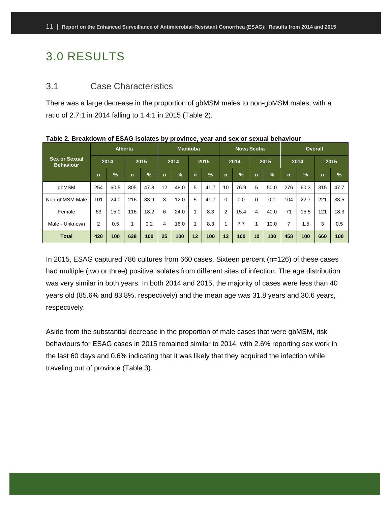# <span id="page-13-0"></span>3.0 RESULTS

#### <span id="page-13-1"></span>3.1 Case Characteristics

There was a large decrease in the proportion of gbMSM males to non-gbMSM males, with a ratio of 2.7:1 in 2014 falling to 1.4:1 in 2015 (Table 2).

|                                          | <b>Alberta</b> |               |              |               | <b>Manitoba</b> |               |      |               | <b>Nova Scotia</b> |               |              |               | <b>Overall</b> |               |              |               |
|------------------------------------------|----------------|---------------|--------------|---------------|-----------------|---------------|------|---------------|--------------------|---------------|--------------|---------------|----------------|---------------|--------------|---------------|
| <b>Sex or Sexual</b><br><b>Behaviour</b> | 2014           |               | 2015         |               | 2014            |               | 2015 |               | 2014               |               | 2015         |               | 2014           |               | 2015         |               |
|                                          | $\mathsf{n}$   | $\frac{9}{6}$ | $\mathsf{n}$ | $\frac{1}{2}$ | n               | $\frac{9}{6}$ | n.   | $\frac{9}{6}$ | $\mathsf{n}$       | $\frac{9}{6}$ | $\mathsf{n}$ | $\frac{1}{2}$ | n              | $\frac{9}{6}$ | $\mathsf{n}$ | $\frac{9}{6}$ |
| qbMSM                                    | 254            | 60.5          | 305          | 47.8          | 12              | 48.0          | 5    | 41.7          | 10                 | 76.9          | 5            | 50.0          | 276            | 60.3          | 315          | 47.7          |
| Non-gbMSM Male                           | 101            | 24.0          | 216          | 33.9          | 3               | 12.0          | 5    | 41.7          | $\Omega$           | 0.0           | $\Omega$     | 0.0           | 104            | 22.7          | 221          | 33.5          |
| Female                                   | 63             | 15.0          | 116          | 18.2          | 6               | 24.0          |      | 8.3           | $\overline{2}$     | 15.4          | 4            | 40.0          | 71             | 15.5          | 121          | 18.3          |
| Male - Unknown                           | $\overline{2}$ | 0.5           |              | 0.2           | 4               | 16.0          |      | 8.3           |                    | 7.7           |              | 10.0          | 7              | 1.5           | 3            | 0.5           |
| <b>Total</b>                             | 420            | 100           | 638          | 100           | 25              | 100           | 12   | 100           | 13                 | 100           | 10           | 100           | 458            | 100           | 660          | 100           |

**Table 2. Breakdown of ESAG isolates by province, year and sex or sexual behaviour**

In 2015, ESAG captured 786 cultures from 660 cases. Sixteen percent (n=126) of these cases had multiple (two or three) positive isolates from different sites of infection. The age distribution was very similar in both years. In both 2014 and 2015, the majority of cases were less than 40 years old (85.6% and 83.8%, respectively) and the mean age was 31.8 years and 30.6 years, respectively.

Aside from the substantial decrease in the proportion of male cases that were gbMSM, risk behaviours for ESAG cases in 2015 remained similar to 2014, with 2.6% reporting sex work in the last 60 days and 0.6% indicating that it was likely that they acquired the infection while traveling out of province (Table 3).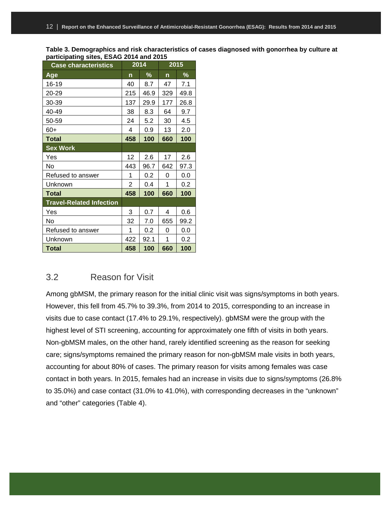**Table 3. Demographics and risk characteristics of cases diagnosed with gonorrhea by culture at participating sites, ESAG 2014 and 2015**

| <b>Case characteristics</b>     |     | 2014 | 2015 |      |  |  |
|---------------------------------|-----|------|------|------|--|--|
| Age                             | n   | %    | n    | %    |  |  |
| 16-19                           | 40  | 8.7  | 47   | 7.1  |  |  |
| 20-29                           | 215 | 46.9 | 329  | 49.8 |  |  |
| 30-39                           | 137 | 29.9 | 177  | 26.8 |  |  |
| 40-49                           | 38  | 8.3  | 64   | 9.7  |  |  |
| 50-59                           | 24  | 5.2  | 30   | 4.5  |  |  |
| $60+$                           | 4   | 0.9  | 13   | 2.0  |  |  |
| Total                           | 458 | 100  | 660  | 100  |  |  |
| <b>Sex Work</b>                 |     |      |      |      |  |  |
| Yes                             | 12  | 2.6  | 17   | 2.6  |  |  |
| No                              | 443 | 96.7 | 642  | 97.3 |  |  |
| Refused to answer               | 1   | 0.2  | 0    | 0.0  |  |  |
| Unknown                         | 2   | 0.4  | 1    | 0.2  |  |  |
| Total                           | 458 | 100  | 660  | 100  |  |  |
| <b>Travel-Related Infection</b> |     |      |      |      |  |  |
| Yes                             | 3   | 0.7  | 4    | 0.6  |  |  |
| No                              | 32  | 7.0  | 655  | 99.2 |  |  |
| Refused to answer               | 1   | 0.2  | 0    | 0.0  |  |  |
| Unknown                         | 422 | 92.1 | 1    | 0.2  |  |  |
| Total                           | 458 | 100  | 660  | 100  |  |  |

#### <span id="page-14-0"></span>3.2 Reason for Visit

Among gbMSM, the primary reason for the initial clinic visit was signs/symptoms in both years. However, this fell from 45.7% to 39.3%, from 2014 to 2015, corresponding to an increase in visits due to case contact (17.4% to 29.1%, respectively). gbMSM were the group with the highest level of STI screening, accounting for approximately one fifth of visits in both years. Non-gbMSM males, on the other hand, rarely identified screening as the reason for seeking care; signs/symptoms remained the primary reason for non-gbMSM male visits in both years, accounting for about 80% of cases. The primary reason for visits among females was case contact in both years. In 2015, females had an increase in visits due to signs/symptoms (26.8% to 35.0%) and case contact (31.0% to 41.0%), with corresponding decreases in the "unknown" and "other" categories (Table 4).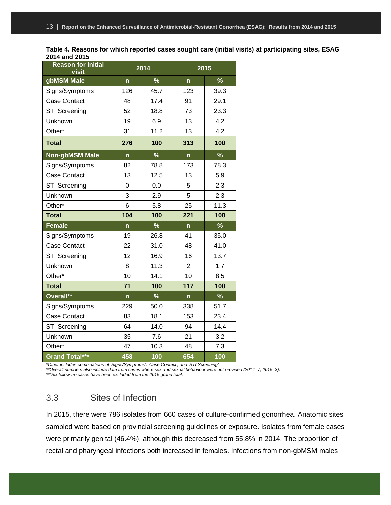| Table 4. Reasons for which reported cases sought care (initial visits) at participating sites, ESAG |  |
|-----------------------------------------------------------------------------------------------------|--|
| 2014 and 2015                                                                                       |  |

| <b>Reason for initial</b><br>visit |     | 2014          |                | 2015          |
|------------------------------------|-----|---------------|----------------|---------------|
| gbMSM Male                         | n   | $\%$          | $\mathsf{n}$   | $\%$          |
| Signs/Symptoms                     | 126 | 45.7          | 123            | 39.3          |
| <b>Case Contact</b>                | 48  | 17.4          | 91             | 29.1          |
| <b>STI Screening</b>               | 52  | 18.8          | 73             | 23.3          |
| Unknown                            | 19  | 6.9           | 13             | 4.2           |
| Other*                             | 31  | 11.2          | 13             | 4.2           |
| <b>Total</b>                       | 276 | 100           | 313            | 100           |
| <b>Non-gbMSM Male</b>              | n   | $\frac{9}{6}$ | $\mathsf{n}$   | $\frac{9}{6}$ |
| Signs/Symptoms                     | 82  | 78.8          | 173            | 78.3          |
| <b>Case Contact</b>                | 13  | 12.5          | 13             | 5.9           |
| <b>STI Screening</b>               | 0   | 0.0           | 5              | 2.3           |
| Unknown                            | 3   | 2.9           | 5              | 2.3           |
| Other*                             | 6   | 5.8           | 25             | 11.3          |
| <b>Total</b>                       | 104 | 100           | 221            | 100           |
| <b>Female</b>                      | n   | $\frac{9}{6}$ | $\mathsf{n}$   | $\%$          |
| Signs/Symptoms                     | 19  | 26.8          | 41             | 35.0          |
| <b>Case Contact</b>                | 22  | 31.0          | 48             | 41.0          |
| <b>STI Screening</b>               | 12  | 16.9          | 16             | 13.7          |
| Unknown                            | 8   | 11.3          | $\overline{2}$ | 1.7           |
| Other*                             | 10  | 14.1          | 10             | 8.5           |
| <b>Total</b>                       | 71  | 100           | 117            | 100           |
| Overall**                          | n   | $\%$          | $\mathsf{n}$   | $\frac{9}{6}$ |
| Signs/Symptoms                     | 229 | 50.0          | 338            | 51.7          |
| <b>Case Contact</b>                | 83  | 18.1          | 153            | 23.4          |
| <b>STI Screening</b>               | 64  | 14.0          | 94             | 14.4          |
| Unknown                            | 35  | 7.6           | 21             | 3.2           |
| Other*                             | 47  | 10.3          | 48             | 7.3           |
| Grand Total***                     |     |               |                |               |

*\*Other includes combinations of 'Signs/Symptoms', 'Case Contact', and 'STI Screening'.*

*\*\*Overall numbers also include data from cases where sex and sexual behaviour were not provided (2014=7; 2015=3).*

*\*\*\*Six follow-up cases have been excluded from the 2015 grand total.*

### <span id="page-15-0"></span>3.3 Sites of Infection

In 2015, there were 786 isolates from 660 cases of culture-confirmed gonorrhea. Anatomic sites sampled were based on provincial screening guidelines or exposure. Isolates from female cases were primarily genital (46.4%), although this decreased from 55.8% in 2014. The proportion of rectal and pharyngeal infections both increased in females. Infections from non-gbMSM males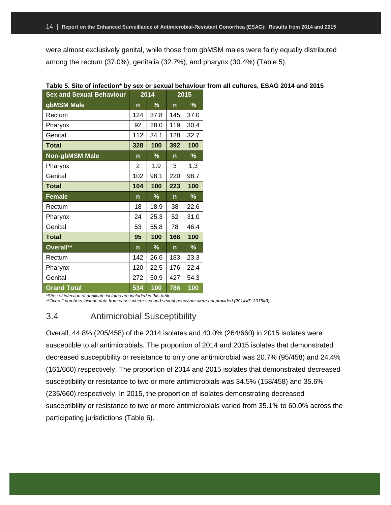were almost exclusively genital, while those from gbMSM males were fairly equally distributed among the rectum (37.0%), genitalia (32.7%), and pharynx (30.4%) (Table 5).

| <b>Sex and Sexual Behaviour</b> |              | 2014 | 2015         |                 |  |  |
|---------------------------------|--------------|------|--------------|-----------------|--|--|
| gbMSM Male                      | n            | %    | n            | %               |  |  |
| Rectum                          | 124          | 37.8 | 145          | 37.0            |  |  |
| Pharynx                         | 92           | 28.0 | 119          | 30.4            |  |  |
| Genital                         | 112          | 34.1 | 128          | 32.7            |  |  |
| <b>Total</b>                    | 328          | 100  | 392          | 100             |  |  |
| Non-gbMSM Male                  | $\mathsf{n}$ | %    | $\mathsf{n}$ | $\overline{\%}$ |  |  |
| Pharynx                         | 2            | 1.9  | 3            | 1.3             |  |  |
| Genital                         | 102          | 98.1 | 220          | 98.7            |  |  |
| <b>Total</b>                    | 104          | 100  | 223          | 100             |  |  |
| <b>Female</b>                   | $\mathsf{n}$ | %    | $\mathsf{n}$ | $\overline{\%}$ |  |  |
| Rectum                          | 18           | 18.9 | 38           | 22.6            |  |  |
| Pharynx                         | 24           | 25.3 | 52           | 31.0            |  |  |
| Genital                         | 53           | 55.8 | 78           | 46.4            |  |  |
| <b>Total</b>                    | 95           | 100  | 168          | 100             |  |  |
| Overall**                       | $\mathsf{n}$ | %    | $\mathsf{n}$ | %               |  |  |
| Rectum                          | 142          | 26.6 | 183          | 23.3            |  |  |
| Pharynx                         | 120          | 22.5 | 176          | 22.4            |  |  |
| Genital                         | 272          | 50.9 | 427          | 54.3            |  |  |
|                                 |              |      |              |                 |  |  |

#### **Table 5. Site of infection\* by sex or sexual behaviour from all cultures, ESAG 2014 and 2015**

*\*Sites of infection of duplicate isolates are included in this table.*

<span id="page-16-0"></span>*\*\*Overall numbers include data from cases where sex and sexual behaviour were not provided (2014=7; 2015=3).*

### 3.4 Antimicrobial Susceptibility

Overall, 44.8% (205/458) of the 2014 isolates and 40.0% (264/660) in 2015 isolates were susceptible to all antimicrobials. The proportion of 2014 and 2015 isolates that demonstrated decreased susceptibility or resistance to only one antimicrobial was 20.7% (95/458) and 24.4% (161/660) respectively. The proportion of 2014 and 2015 isolates that demonstrated decreased susceptibility or resistance to two or more antimicrobials was 34.5% (158/458) and 35.6% (235/660) respectively. In 2015, the proportion of isolates demonstrating decreased susceptibility or resistance to two or more antimicrobials varied from 35.1% to 60.0% across the participating jurisdictions (Table 6).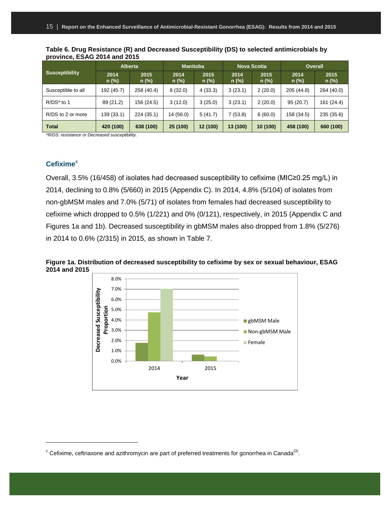|                       |               | <b>Alberta</b>  | <b>Manitoba</b> |                 |                 | <b>Nova Scotia</b> | <b>Overall</b>  |                 |  |
|-----------------------|---------------|-----------------|-----------------|-----------------|-----------------|--------------------|-----------------|-----------------|--|
| <b>Susceptibility</b> | 2014<br>n (%) | 2015<br>$n$ (%) | 2014<br>$n$ (%) | 2015<br>$n$ (%) | 2014<br>$n$ (%) | 2015<br>$n$ (%)    | 2014<br>$n$ (%) | 2015<br>$n$ (%) |  |
| Susceptible to all    | 192 (45.7)    | 258 (40.4)      | 8(32.0)         | 4(33.3)         | 3(23.1)         | 2(20.0)            | 205 (44.8)      | 264 (40.0)      |  |
| R/DS* to 1            | 89 (21.2)     | 156 (24.5)      | 3(12.0)         | 3(25.0)         | 3(23.1)         | 2(20.0)            | 95 (20.7)       | 161 (24.4)      |  |
| R/DS to 2 or more     | 139 (33.1)    | 224 (35.1)      | 14 (56.0)       | 5(41.7)         | 7 (53.8)        | 6(60.0)            | 158 (34.5)      | 235 (35.6)      |  |
| <b>Total</b>          | 420 (100)     | 638 (100)       | 25 (100)        | 12 (100)        | 13 (100)        | 10 (100)           | 458 (100)       | 660 (100)       |  |

**Table 6. Drug Resistance (R) and Decreased Susceptibility (DS) to selected antimicrobials by province, ESAG 2014 and 2015**

*\*R/DS: resistance or Decreased susceptibility.*

#### <span id="page-17-0"></span>**Cefixime[c](#page-17-1)**

 $\overline{a}$ 

Overall, 3.5% (16/458) of isolates had decreased susceptibility to cefixime (MIC≥0.25 mg/L) in 2014, declining to 0.8% (5/660) in 2015 (Appendix C). In 2014, 4.8% (5/104) of isolates from non-gbMSM males and 7.0% (5/71) of isolates from females had decreased susceptibility to cefixime which dropped to 0.5% (1/221) and 0% (0/121), respectively, in 2015 (Appendix C and Figures 1a and 1b). Decreased susceptibility in gbMSM males also dropped from 1.8% (5/276) in 2014 to 0.6% (2/315) in 2015, as shown in Table 7.



**Figure 1a. Distribution of decreased susceptibility to cefixime by sex or sexual behaviour, ESAG 2014 and 2015**

<span id="page-17-1"></span> $\textdegree$  Cefixime, ceftriaxone and azithromycin are part of preferred treatments for gonorrhea in Canada<sup>(3)</sup>.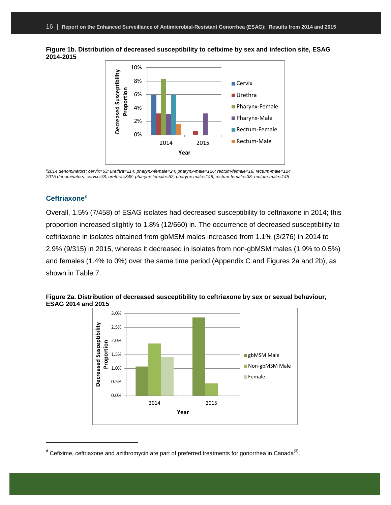



*a 2014 denominators: cervix=53; urethra=214; pharynx-female=24; pharynx-male=126; rectum-female=18; rectum-male=124 2015 denominators: cervix=78; urethra=348; pharynx-female=52; pharynx-male=148; rectum-female=38; rectum-male=145*

#### <span id="page-18-0"></span>**Ceftriaxone[d](#page-18-1)**

 $\overline{a}$ 

Overall, 1.5% (7/458) of ESAG isolates had decreased susceptibility to ceftriaxone in 2014; this proportion increased slightly to 1.8% (12/660) in. The occurrence of decreased susceptibility to ceftriaxone in isolates obtained from gbMSM males increased from 1.1% (3/276) in 2014 to 2.9% (9/315) in 2015, whereas it decreased in isolates from non-gbMSM males (1.9% to 0.5%) and females (1.4% to 0%) over the same time period (Appendix C and Figures 2a and 2b), as shown in Table 7.



**Figure 2a. Distribution of decreased susceptibility to ceftriaxone by sex or sexual behaviour, ESAG 2014 and 2015**

<span id="page-18-1"></span> $d$  Cefixime, ceftriaxone and azithromycin are part of preferred treatments for gonorrhea in Canada<sup>(3)</sup>.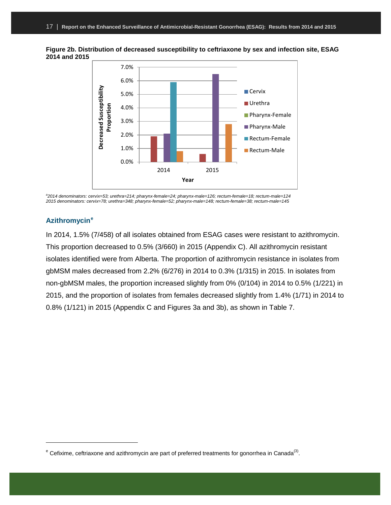



*a 2014 denominators: cervix=53; urethra=214; pharynx-female=24; pharynx-male=126; rectum-female=18; rectum-male=124 2015 denominators: cervix=78; urethra=348; pharynx-female=52; pharynx-male=148; rectum-female=38; rectum-male=145*

#### <span id="page-19-0"></span>**Azithromycin[e](#page-19-1)**

 $\overline{a}$ 

In 2014, 1.5% (7/458) of all isolates obtained from ESAG cases were resistant to azithromycin. This proportion decreased to 0.5% (3/660) in 2015 (Appendix C). All azithromycin resistant isolates identified were from Alberta. The proportion of azithromycin resistance in isolates from gbMSM males decreased from 2.2% (6/276) in 2014 to 0.3% (1/315) in 2015. In isolates from non-gbMSM males, the proportion increased slightly from 0% (0/104) in 2014 to 0.5% (1/221) in 2015, and the proportion of isolates from females decreased slightly from 1.4% (1/71) in 2014 to 0.8% (1/121) in 2015 (Appendix C and Figures 3a and 3b), as shown in Table 7.

<span id="page-19-1"></span> $e^e$  Cefixime, ceftriaxone and azithromycin are part of preferred treatments for gonorrhea in Canada<sup>(3)</sup>.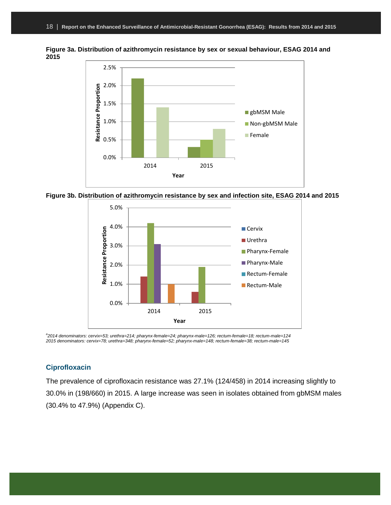

**Figure 3a. Distribution of azithromycin resistance by sex or sexual behaviour, ESAG 2014 and 2015**





*a 2014 denominators: cervix=53; urethra=214; pharynx-female=24; pharynx-male=126; rectum-female=18; rectum-male=124 2015 denominators: cervix=78; urethra=348; pharynx-female=52; pharynx-male=148; rectum-female=38; rectum-male=145*

#### <span id="page-20-0"></span>**Ciprofloxacin**

The prevalence of ciprofloxacin resistance was 27.1% (124/458) in 2014 increasing slightly to 30.0% in (198/660) in 2015. A large increase was seen in isolates obtained from gbMSM males (30.4% to 47.9%) (Appendix C).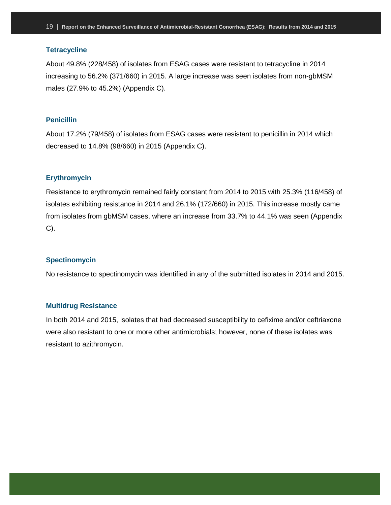#### <span id="page-21-0"></span>**Tetracycline**

About 49.8% (228/458) of isolates from ESAG cases were resistant to tetracycline in 2014 increasing to 56.2% (371/660) in 2015. A large increase was seen isolates from non-gbMSM males (27.9% to 45.2%) (Appendix C).

#### <span id="page-21-1"></span>**Penicillin**

About 17.2% (79/458) of isolates from ESAG cases were resistant to penicillin in 2014 which decreased to 14.8% (98/660) in 2015 (Appendix C).

#### <span id="page-21-2"></span>**Erythromycin**

Resistance to erythromycin remained fairly constant from 2014 to 2015 with 25.3% (116/458) of isolates exhibiting resistance in 2014 and 26.1% (172/660) in 2015. This increase mostly came from isolates from gbMSM cases, where an increase from 33.7% to 44.1% was seen (Appendix C).

#### <span id="page-21-3"></span>**Spectinomycin**

No resistance to spectinomycin was identified in any of the submitted isolates in 2014 and 2015.

#### <span id="page-21-4"></span>**Multidrug Resistance**

In both 2014 and 2015, isolates that had decreased susceptibility to cefixime and/or ceftriaxone were also resistant to one or more other antimicrobials; however, none of these isolates was resistant to azithromycin.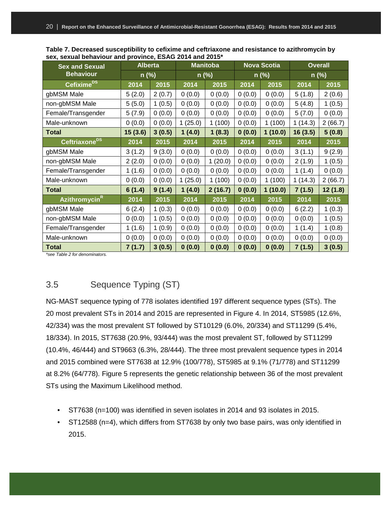**Table 7. Decreased susceptibility to cefixime and ceftriaxone and resistance to azithromycin by sex, sexual behaviour and province, ESAG 2014 and 2015\***

| <b>Sex and Sexual</b>     | <b>Alberta</b> |        |         | <b>Manitoba</b> |        | <b>Nova Scotia</b> | <b>Overall</b> |         |  |  |
|---------------------------|----------------|--------|---------|-----------------|--------|--------------------|----------------|---------|--|--|
| <b>Behaviour</b>          | $n$ (%)        |        | $n$ (%) |                 |        | $n$ (%)            |                | $n$ (%) |  |  |
| Cefixime <sup>DS</sup>    | 2014           | 2015   | 2014    | 2015            | 2014   | 2015               | 2014           | 2015    |  |  |
| gbMSM Male                | 5(2.0)         | 2(0.7) | 0(0.0)  | 0(0.0)          | 0(0.0) | 0(0.0)             | 5(1.8)         | 2(0.6)  |  |  |
| non-gbMSM Male            | 5(5.0)         | 1(0.5) | 0(0.0)  | 0(0.0)          | 0(0.0) | 0(0.0)             | 5(4.8)         | 1(0.5)  |  |  |
| Female/Transgender        | 5(7.9)         | 0(0.0) | 0(0.0)  | 0(0.0)          | 0(0.0) | 0(0.0)             | 5(7.0)         | 0(0.0)  |  |  |
| Male-unknown              | 0(0.0)         | 0(0.0) | 1(25.0) | 1(100)          | 0(0.0) | 1(100)             | 1(14.3)        | 2(66.7) |  |  |
| <b>Total</b>              | 15(3.6)        | 3(0.5) | 1(4.0)  | 1(8.3)          | 0(0.0) | 1(10.0)            |                | 5(0.8)  |  |  |
| Ceftriaxone <sup>DS</sup> | 2014           | 2015   | 2014    | 2015            | 2014   | 2015               | 2014           | 2015    |  |  |
| gbMSM Male                | 3(1.2)         | 9(3.0) | 0(0.0)  | 0(0.0)          | 0(0.0) | 0(0.0)             | 3(1.1)         | 9(2.9)  |  |  |
| non-gbMSM Male            | 2(2.0)         | 0(0.0) | 0(0.0)  | 1(20.0)         | 0(0.0) | 0(0.0)             | 2(1.9)         | 1(0.5)  |  |  |
| Female/Transgender        | 1(1.6)         | 0(0.0) | 0(0.0)  | 0(0.0)          | 0(0.0) | 0(0.0)             | 1(1.4)         | 0(0.0)  |  |  |
| Male-unknown              | 0(0.0)         | 0(0.0) | 1(25.0) | 1(100)          | 0(0.0) | 1(100)             | 1(14.3)        | 2(66.7) |  |  |
| <b>Total</b>              | 6(1.4)         | 9(1.4) | 1(4.0)  | 2(16.7)         | 0(0.0) | 1(10.0)            | 7(1.5)         | 12(1.8) |  |  |
| Azithromycin <sup>R</sup> | 2014           | 2015   | 2014    | 2015            | 2014   | 2015               | 2014           | 2015    |  |  |
| gbMSM Male                | 6(2.4)         | 1(0.3) | 0(0.0)  | 0(0.0)          | 0(0.0) | 0(0.0)             | 6(2.2)         | 1(0.3)  |  |  |
| non-gbMSM Male            | 0(0.0)         | 1(0.5) | 0(0.0)  | 0(0.0)          | 0(0.0) | 0(0.0)             | 0(0.0)         | 1(0.5)  |  |  |
| Female/Transgender        | 1(1.6)         | 1(0.9) | 0(0.0)  | 0(0.0)          | 0(0.0) | 0(0.0)             | 1(1.4)         | 1(0.8)  |  |  |
| Male-unknown              | 0(0.0)         | 0(0.0) | 0(0.0)  | 0(0.0)          | 0(0.0) | 0(0.0)             | 0(0.0)         | 0(0.0)  |  |  |
| <b>Total</b>              | 7 (1.7)        | 3(0.5) | 0(0.0)  | 0(0.0)          | 0(0.0) | 0(0.0)             | 7(1.5)         | 3(0.5)  |  |  |

*\*see Table 2 for denominators.*

### <span id="page-22-0"></span>3.5 Sequence Typing (ST)

NG-MAST sequence typing of 778 isolates identified 197 different sequence types (STs). The 20 most prevalent STs in 2014 and 2015 are represented in Figure 4. In 2014, ST5985 (12.6%, 42/334) was the most prevalent ST followed by ST10129 (6.0%, 20/334) and ST11299 (5.4%, 18/334). In 2015, ST7638 (20.9%, 93/444) was the most prevalent ST, followed by ST11299 (10.4%, 46/444) and ST9663 (6.3%, 28/444). The three most prevalent sequence types in 2014 and 2015 combined were ST7638 at 12.9% (100/778), ST5985 at 9.1% (71/778) and ST11299 at 8.2% (64/778). Figure 5 represents the genetic relationship between 36 of the most prevalent STs using the Maximum Likelihood method.

- ST7638 (n=100) was identified in seven isolates in 2014 and 93 isolates in 2015.
- ST12588 (n=4), which differs from ST7638 by only two base pairs, was only identified in 2015.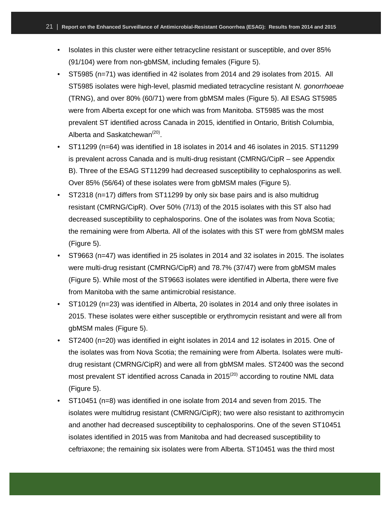- Isolates in this cluster were either tetracycline resistant or susceptible, and over 85% (91/104) were from non-gbMSM, including females (Figure 5).
- ST5985 (n=71) was identified in 42 isolates from 2014 and 29 isolates from 2015. All ST5985 isolates were high-level, plasmid mediated tetracycline resistant *N. gonorrhoeae* (TRNG), and over 80% (60/71) were from gbMSM males (Figure 5). All ESAG ST5985 were from Alberta except for one which was from Manitoba. ST5985 was the most prevalent ST identified across Canada in 2015, identified in Ontario, British Columbia, Alberta and Saskatchewan<sup>(20)</sup>.
- ST11299 (n=64) was identified in 18 isolates in 2014 and 46 isolates in 2015. ST11299 is prevalent across Canada and is multi-drug resistant (CMRNG/CipR – see Appendix B). Three of the ESAG ST11299 had decreased susceptibility to cephalosporins as well. Over 85% (56/64) of these isolates were from gbMSM males (Figure 5).
- ST2318 (n=17) differs from ST11299 by only six base pairs and is also multidrug resistant (CMRNG/CipR). Over 50% (7/13) of the 2015 isolates with this ST also had decreased susceptibility to cephalosporins. One of the isolates was from Nova Scotia; the remaining were from Alberta. All of the isolates with this ST were from gbMSM males (Figure 5).
- ST9663 (n=47) was identified in 25 isolates in 2014 and 32 isolates in 2015. The isolates were multi-drug resistant (CMRNG/CipR) and 78.7% (37/47) were from gbMSM males (Figure 5). While most of the ST9663 isolates were identified in Alberta, there were five from Manitoba with the same antimicrobial resistance.
- ST10129 (n=23) was identified in Alberta, 20 isolates in 2014 and only three isolates in 2015. These isolates were either susceptible or erythromycin resistant and were all from gbMSM males (Figure 5).
- ST2400 (n=20) was identified in eight isolates in 2014 and 12 isolates in 2015. One of the isolates was from Nova Scotia; the remaining were from Alberta. Isolates were multidrug resistant (CMRNG/CipR) and were all from gbMSM males. ST2400 was the second most prevalent ST identified across Canada in 2015 $^{(20)}$  according to routine NML data (Figure 5).
- ST10451 (n=8) was identified in one isolate from 2014 and seven from 2015. The isolates were multidrug resistant (CMRNG/CipR); two were also resistant to azithromycin and another had decreased susceptibility to cephalosporins. One of the seven ST10451 isolates identified in 2015 was from Manitoba and had decreased susceptibility to ceftriaxone; the remaining six isolates were from Alberta. ST10451 was the third most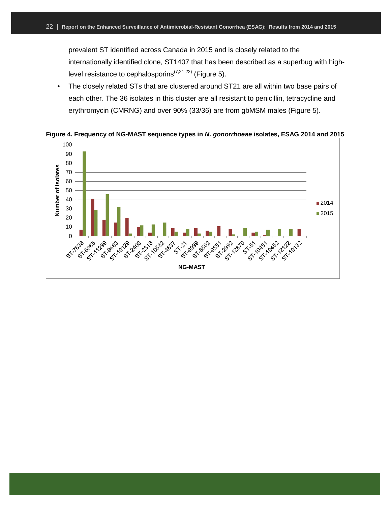prevalent ST identified across Canada in 2015 and is closely related to the internationally identified clone, ST1407 that has been described as a superbug with highlevel resistance to cephalosporins<sup> $(7,21-22)$ </sup> (Figure 5).

• The closely related STs that are clustered around ST21 are all within two base pairs of each other. The 36 isolates in this cluster are all resistant to penicillin, tetracycline and erythromycin (CMRNG) and over 90% (33/36) are from gbMSM males (Figure 5).



**Figure 4. Frequency of NG-MAST sequence types in** *N. gonorrhoeae* **isolates, ESAG 2014 and 2015**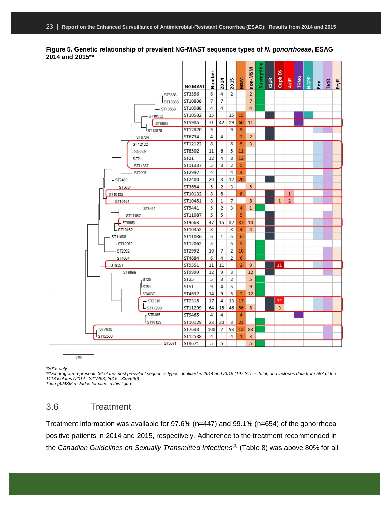| ں رہی ہیں <del>ہ</del> رہ۔ |                  |        |                |                |                |                |             |      |                      |                |      |      |              |             |      |
|----------------------------|------------------|--------|----------------|----------------|----------------|----------------|-------------|------|----------------------|----------------|------|------|--------------|-------------|------|
|                            | <b>NGMAST</b>    | Number | 2014           | 2015           | <b>MSM</b>     | non-MSM        | Susceptible | CipR | 8<br>$\mathsf{Ceph}$ | AziR           | TRNG | NGPP | $_{\rm Pen}$ | <b>TetR</b> | EryR |
| ST3556                     | ST3556           | 6      | 4              | 2              |                | $\overline{2}$ |             |      |                      |                |      |      |              |             |      |
| ST10838                    | ST10838          | 7      | 7              |                |                | $\overline{7}$ |             |      |                      |                |      |      |              |             |      |
| $-$ ST10588                | ST10588          | 4      | 4              |                |                | 4              |             |      |                      |                |      |      |              |             |      |
| ST10532                    | ST10532          | 15     |                | 15             | 15             |                |             |      |                      |                |      |      |              |             |      |
| ST5985                     | ST5985           | 71     | 42             | 29             | 60             | 11             |             |      |                      |                |      |      |              |             |      |
| ST12870                    | ST12870          | 9      |                | 9              | 9              |                |             |      |                      |                |      |      |              |             |      |
| $-ST6734$                  | ST6734           | 4      | 4              |                | $\overline{2}$ | $\overline{2}$ |             |      |                      |                |      |      |              |             |      |
| ST12122                    | ST12122          | 8      |                | 8              | 5              | 3              |             |      |                      |                |      |      |              |             |      |
| ST8502                     | ST8502           | 11     | 6              | 5              | 11             |                |             |      |                      |                |      |      |              |             |      |
| ST <sub>21</sub>           | ST <sub>21</sub> | 12     | 4              | 8              | 12             |                |             |      |                      |                |      |      |              |             |      |
| ST11337                    | ST11337          | 5      | 3              | $\overline{2}$ | 5              |                |             |      |                      |                |      |      |              |             |      |
| ST2997                     | ST2997           | 4      |                | 4              | 4              |                |             |      |                      |                |      |      |              |             |      |
| $L$ ST2400                 | ST2400           | 20     | 8              | 12             | 20             |                |             |      |                      |                |      |      |              |             |      |
| $-ST3654$                  | ST3654           | 5      | $\overline{2}$ | 3              |                | 5              |             |      |                      |                |      |      |              |             |      |
| 5T10132                    | ST10132          | 8      | 8              |                | 8              |                |             |      |                      | $\mathbf{1}$   |      |      |              |             |      |
| - ST10451                  | ST10451          | 8      | $\mathbf{1}$   | 7              |                | 8              |             |      | $\mathbf{1}$         | $\overline{2}$ |      |      |              |             |      |
| $-$ ST5441                 | ST5441           | 5      | 2              | 3              | 4              | $\mathbf{1}$   |             |      |                      |                |      |      |              |             |      |
| $-ST11087$                 | ST11087          | 5      | 5              |                | 5              |                |             |      |                      |                |      |      |              |             |      |
| ST9663                     | ST9663           | 47     | 15             | 32             | 37             | 10             |             |      |                      |                |      |      |              |             |      |
| LST10452                   | ST10452          | 8      |                | 8              | 4              | $\overline{4}$ |             |      |                      |                |      |      |              |             |      |
| ST11086                    | ST11086          | 6      | 1              | 5              | 6              |                |             |      |                      |                |      |      |              |             |      |
| ST12062                    | ST12062          | 5      |                | 5              | 5              |                |             |      |                      |                |      |      |              |             |      |
| ST2992                     | ST2992           | 10     | 7              | 2              | 10             |                |             |      |                      |                |      |      |              |             |      |
| <b>ST4684</b>              | ST4684           | 6      | 4              | $\overline{2}$ | 6              |                |             |      |                      |                |      |      |              |             |      |
| ST9551                     | ST9551           | 11     | 11             |                | $\overline{2}$ | 9              |             |      | 11                   |                |      |      |              |             |      |
| $-$ ST9999                 | ST9999           | 12     | 9              | 3              |                | 12             |             |      |                      |                |      |      |              |             |      |
| <b>ST25</b>                | ST <sub>25</sub> | 5      | 3              | 2              |                | 5              |             |      |                      |                |      |      |              |             |      |
| ST51                       | <b>ST51</b>      | 9      | 4              | 5              |                | 9              |             |      |                      |                |      |      |              |             |      |
| ST4637                     | ST4637           | 14     | 9              | 5              | $\overline{2}$ | 12             |             |      |                      |                |      |      |              |             |      |
| $-$ ST2318                 | <b>ST2318</b>    | 17     | 4              | 13             | 17             |                |             |      | $7*$                 |                |      |      |              |             |      |
| LST11299                   | ST11299          | 64     | 18             | 46             | 56             | 8              |             |      | 3                    |                |      |      |              |             |      |
| ST9465                     | ST9465           | 4      | 4              |                | 4              |                |             |      |                      |                |      |      |              |             |      |
| ST10129                    | ST10129          | 23     | 20             | 3              | 23             |                |             |      |                      |                |      |      |              |             |      |
| ST7638                     | ST7638           | 100    | 7              | 93             | 12             | 88             |             |      |                      |                |      |      |              |             |      |
| ST12588                    | ST12588          | 4      |                | 4              | 1              | 3              |             |      |                      |                |      |      |              |             |      |
| $-ST3671$                  | ST3671           | 5      | 5              |                |                | 5              |             |      |                      |                |      |      |              |             |      |

**Figure 5. Genetic relationship of prevalent NG-MAST sequence types of** *N. gonorrhoeae***, ESAG 2014 and 2015\*\***

*\*2015 only*

*\*\*Dendrogram represents 36 of the most prevalent sequence types identified in 2014 and 2015 (197 STs in total) and includes data from 557 of the 1118 isolates (2014 - 221/458; 2015 - 335/660)*

*†non-gbMSM includes females in this figure*

 $0.05$ 

### <span id="page-25-0"></span>3.6 Treatment

Treatment information was available for 97.6% (n=447) and 99.1% (n=654) of the gonorrhoea positive patients in 2014 and 2015, respectively. Adherence to the treatment recommended in the *Canadian Guidelines on Sexually Transmitted Infections<sup>(3)</sup> (Table 8) was above 80% for all*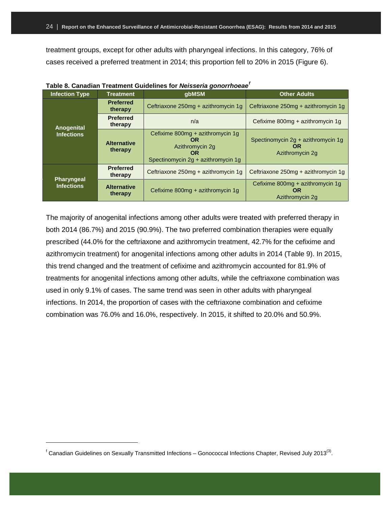treatment groups, except for other adults with pharyngeal infections. In this category, 76% of cases received a preferred treatment in 2014; this proportion fell to 20% in 2015 (Figure 6).

| <b>Infection Type</b> | <b>Treatment</b>              | rapio o. Odnagian Trodunom Odigomico for Acioocha gonomicodo<br>gbMSM                                               | <b>Other Adults</b>                                                |  |  |
|-----------------------|-------------------------------|---------------------------------------------------------------------------------------------------------------------|--------------------------------------------------------------------|--|--|
|                       | <b>Preferred</b><br>therapy   | Ceftriaxone 250mg + azithromycin 1g                                                                                 | Ceftriaxone 250mg + azithromycin 1g                                |  |  |
| Anogenital            | <b>Preferred</b><br>therapy   | n/a                                                                                                                 | Cefixime 800mg + azithromycin 1g                                   |  |  |
| <b>Infections</b>     | <b>Alternative</b><br>therapy | Cefixime 800mg + azithromycin 1g<br><b>OR</b><br>Azithromycin 2g<br><b>OR</b><br>Spectinomycin 2q + azithromycin 1q | Spectinomycin 2q + azithromycin 1q<br><b>OR</b><br>Azithromycin 2g |  |  |
| Pharyngeal            | <b>Preferred</b><br>therapy   | Ceftriaxone 250mg + azithromycin 1g                                                                                 | Ceftriaxone 250mg + azithromycin 1g                                |  |  |
| <b>Infections</b>     | <b>Alternative</b><br>therapy | Cefixime 800mg + azithromycin 1g                                                                                    | Cefixime 800mg + azithromycin 1g<br><b>OR</b><br>Azithromycin 2g   |  |  |

|  |  |  |  |  | Table 8. Canadian Treatment Guidelines for <i>Neisseria gonorrhoeae<sup>f</sup></i> |
|--|--|--|--|--|-------------------------------------------------------------------------------------|
|--|--|--|--|--|-------------------------------------------------------------------------------------|

The majority of anogenital infections among other adults were treated with preferred therapy in both 2014 (86.7%) and 2015 (90.9%). The two preferred combination therapies were equally prescribed (44.0% for the ceftriaxone and azithromycin treatment, 42.7% for the cefixime and azithromycin treatment) for anogenital infections among other adults in 2014 (Table 9). In 2015, this trend changed and the treatment of cefixime and azithromycin accounted for 81.9% of treatments for anogenital infections among other adults, while the ceftriaxone combination was used in only 9.1% of cases. The same trend was seen in other adults with pharyngeal infections. In 2014, the proportion of cases with the ceftriaxone combination and cefixime combination was 76.0% and 16.0%, respectively. In 2015, it shifted to 20.0% and 50.9%.

 $\overline{a}$ 

<span id="page-26-0"></span><sup>&</sup>lt;sup>f</sup> Canadian Guidelines on Sexually Transmitted Infections – Gonococcal Infections Chapter, Revised July 2013<sup>(3)</sup>.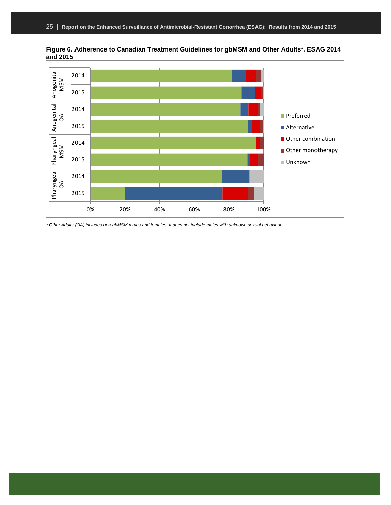

**Figure 6. Adherence to Canadian Treatment Guidelines for gbMSM and Other Adults\*, ESAG 2014 and 2015**

*\* Other Adults (OA) includes non-gbMSM males and females. It does not include males with unknown sexual behaviour.*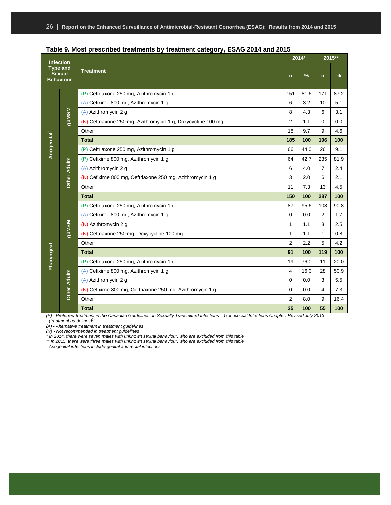| <b>Infection</b><br><b>Type and</b><br><b>Sexual</b><br><b>Behaviour</b> |                     |                                                              |              | $2014*$ | 2015**         |      |  |
|--------------------------------------------------------------------------|---------------------|--------------------------------------------------------------|--------------|---------|----------------|------|--|
|                                                                          |                     | <b>Treatment</b>                                             | $\mathsf{n}$ | %       | $\mathsf{n}$   | %    |  |
|                                                                          |                     | (P) Ceftriaxone 250 mg, Azithromycin 1 g                     | 151          | 81.6    | 171            | 87.2 |  |
|                                                                          |                     | (A) Cefixime 800 mg, Azithromycin 1 g                        | 6            | 3.2     | 10             | 5.1  |  |
|                                                                          | gbMSM               | (A) Azithromycin 2 g                                         | 8            | 4.3     | 6              | 3.1  |  |
|                                                                          |                     | (N) Ceftriaxone 250 mg, Azithromycin 1 g, Doxycycline 100 mg | 2            | 1.1     | $\mathbf 0$    | 0.0  |  |
|                                                                          |                     | Other                                                        | 18           | 9.7     | 9              | 4.6  |  |
| Anogenital <sup>†</sup>                                                  |                     | <b>Total</b>                                                 | 185          | 100     | 196            | 100  |  |
|                                                                          |                     | (P) Ceftriaxone 250 mg, Azithromycin 1 g                     | 66           | 44.0    | 26             | 9.1  |  |
|                                                                          |                     | (P) Cefixime 800 mg, Azithromycin 1 g                        | 64           | 42.7    | 235            | 81.9 |  |
|                                                                          |                     | (A) Azithromycin 2 g                                         | 6            | 4.0     | $\overline{7}$ | 2.4  |  |
|                                                                          | <b>Other Adults</b> | (N) Cefixime 800 mg, Ceftriaxone 250 mg, Azithromycin 1 g    | 3            | 2.0     | 6              | 2.1  |  |
|                                                                          |                     | Other                                                        | 11           | 7.3     | 13             | 4.5  |  |
|                                                                          |                     | <b>Total</b>                                                 | 150          | 100     | 287            | 100  |  |
|                                                                          |                     | (P) Ceftriaxone 250 mg, Azithromycin 1 g                     | 87           | 95.6    | 108            | 90.8 |  |
|                                                                          |                     | (A) Cefixime 800 mg, Azithromycin 1 g                        | $\Omega$     | 0.0     | 2              | 1.7  |  |
|                                                                          |                     | (N) Azithromycin 2 g                                         | $\mathbf{1}$ | 1.1     | 3              | 2.5  |  |
|                                                                          | <b>NSMdg</b>        | (N) Ceftriaxone 250 mg, Doxycycline 100 mg                   | $\mathbf{1}$ | 1.1     | 1              | 0.8  |  |
|                                                                          |                     | Other                                                        | 2            | 2.2     | 5              | 4.2  |  |
| Pharyngeal                                                               |                     | <b>Total</b>                                                 | 91           | 100     | 119            | 100  |  |
|                                                                          |                     | (P) Ceftriaxone 250 mg, Azithromycin 1 g                     | 19           | 76.0    | 11             | 20.0 |  |
|                                                                          |                     | (A) Cefixime 800 mg, Azithromycin 1 g                        | 4            | 16.0    | 28             | 50.9 |  |
|                                                                          | <b>Other Adults</b> | (A) Azithromycin 2 g                                         | $\mathbf 0$  | 0.0     | 3              | 5.5  |  |
|                                                                          |                     | (N) Cefixime 800 mg, Ceftriaxone 250 mg, Azithromycin 1 g    | $\mathbf 0$  | 0.0     | $\overline{4}$ | 7.3  |  |
|                                                                          |                     | Other                                                        | 2            | 8.0     | 9              | 16.4 |  |
|                                                                          |                     | <b>Total</b>                                                 | 25           | 100     | 55             | 100  |  |

| Table 9. Most prescribed treatments by treatment category, ESAG 2014 and 2015 |  |  |
|-------------------------------------------------------------------------------|--|--|
|-------------------------------------------------------------------------------|--|--|

*(P) - Preferred treatment in the Canadian Guidelines on Sexually Transmitted Infections – Gonococcal Infections Chapter, Revised July 2013 (treatment guidelines)*(3)

*(A) - Alternative treatment in treatment guidelines*

*(N) - Not recommended in treatment guidelines*

*\* In 2014, there were seven males with unknown sexual behaviour, who are excluded from this table*

*\*\* In 2015, there were three males with unknown sexual behaviour, who are excluded from this table † Anogenital infections include genital and rectal infections.*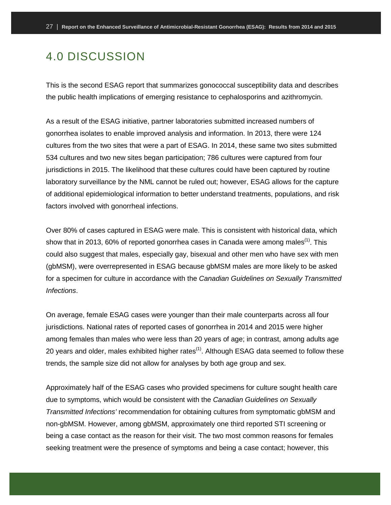### <span id="page-29-0"></span>4.0 DISCUSSION

This is the second ESAG report that summarizes gonococcal susceptibility data and describes the public health implications of emerging resistance to cephalosporins and azithromycin.

As a result of the ESAG initiative, partner laboratories submitted increased numbers of gonorrhea isolates to enable improved analysis and information. In 2013, there were 124 cultures from the two sites that were a part of ESAG. In 2014, these same two sites submitted 534 cultures and two new sites began participation; 786 cultures were captured from four jurisdictions in 2015. The likelihood that these cultures could have been captured by routine laboratory surveillance by the NML cannot be ruled out; however, ESAG allows for the capture of additional epidemiological information to better understand treatments, populations, and risk factors involved with gonorrheal infections.

Over 80% of cases captured in ESAG were male. This is consistent with historical data, which show that in 2013, 60% of reported gonorrhea cases in Canada were among males<sup>(1)</sup>. This could also suggest that males, especially gay, bisexual and other men who have sex with men (gbMSM), were overrepresented in ESAG because gbMSM males are more likely to be asked for a specimen for culture in accordance with the *Canadian Guidelines on Sexually Transmitted Infections*.

On average, female ESAG cases were younger than their male counterparts across all four jurisdictions. National rates of reported cases of gonorrhea in 2014 and 2015 were higher among females than males who were less than 20 years of age; in contrast, among adults age 20 years and older, males exhibited higher rates<sup> $(1)$ </sup>. Although ESAG data seemed to follow these trends, the sample size did not allow for analyses by both age group and sex.

Approximately half of the ESAG cases who provided specimens for culture sought health care due to symptoms, which would be consistent with the *Canadian Guidelines on Sexually Transmitted Infections'* recommendation for obtaining cultures from symptomatic gbMSM and non-gbMSM. However, among gbMSM, approximately one third reported STI screening or being a case contact as the reason for their visit. The two most common reasons for females seeking treatment were the presence of symptoms and being a case contact; however, this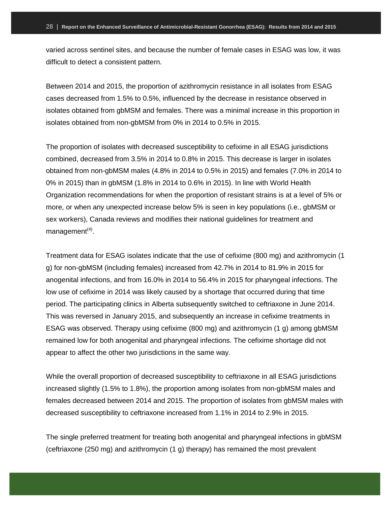varied across sentinel sites, and because the number of female cases in ESAG was low, it was difficult to detect a consistent pattern.

Between 2014 and 2015, the proportion of azithromycin resistance in all isolates from ESAG cases decreased from 1.5% to 0.5%, influenced by the decrease in resistance observed in isolates obtained from gbMSM and females. There was a minimal increase in this proportion in isolates obtained from non-gbMSM from 0% in 2014 to 0.5% in 2015.

The proportion of isolates with decreased susceptibility to cefixime in all ESAG jurisdictions combined, decreased from 3.5% in 2014 to 0.8% in 2015. This decrease is larger in isolates obtained from non-gbMSM males (4.8% in 2014 to 0.5% in 2015) and females (7.0% in 2014 to 0% in 2015) than in gbMSM (1.8% in 2014 to 0.6% in 2015). In line with World Health Organization recommendations for when the proportion of resistant strains is at a level of 5% or more, or when any unexpected increase below 5% is seen in key populations (i.e., gbMSM or sex workers), Canada reviews and modifies their national guidelines for treatment and management $(4)$ .

Treatment data for ESAG isolates indicate that the use of cefixime (800 mg) and azithromycin (1 g) for non-gbMSM (including females) increased from 42.7% in 2014 to 81.9% in 2015 for anogenital infections, and from 16.0% in 2014 to 56.4% in 2015 for pharyngeal infections. The low use of cefixime in 2014 was likely caused by a shortage that occurred during that time period. The participating clinics in Alberta subsequently switched to ceftriaxone in June 2014. This was reversed in January 2015, and subsequently an increase in cefixime treatments in ESAG was observed. Therapy using cefixime (800 mg) and azithromycin (1 g) among gbMSM remained low for both anogenital and pharyngeal infections. The cefixime shortage did not appear to affect the other two jurisdictions in the same way.

While the overall proportion of decreased susceptibility to ceftriaxone in all ESAG jurisdictions increased slightly (1.5% to 1.8%), the proportion among isolates from non-gbMSM males and females decreased between 2014 and 2015. The proportion of isolates from gbMSM males with decreased susceptibility to ceftriaxone increased from 1.1% in 2014 to 2.9% in 2015.

The single preferred treatment for treating both anogenital and pharyngeal infections in gbMSM (ceftriaxone (250 mg) and azithromycin (1 g) therapy) has remained the most prevalent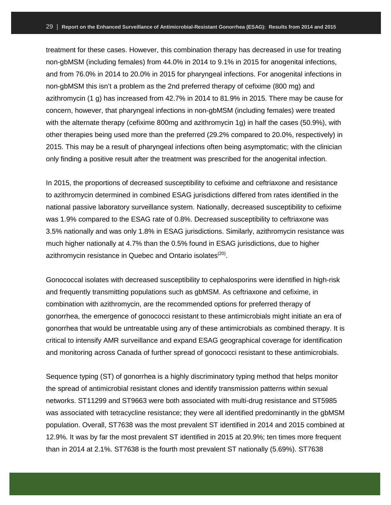treatment for these cases. However, this combination therapy has decreased in use for treating non-gbMSM (including females) from 44.0% in 2014 to 9.1% in 2015 for anogenital infections, and from 76.0% in 2014 to 20.0% in 2015 for pharyngeal infections. For anogenital infections in non-gbMSM this isn't a problem as the 2nd preferred therapy of cefixime (800 mg) and azithromycin (1 g) has increased from 42.7% in 2014 to 81.9% in 2015. There may be cause for concern, however, that pharyngeal infections in non-gbMSM (including females) were treated with the alternate therapy (cefixime 800mg and azithromycin 1g) in half the cases (50.9%), with other therapies being used more than the preferred (29.2% compared to 20.0%, respectively) in 2015. This may be a result of pharyngeal infections often being asymptomatic; with the clinician only finding a positive result after the treatment was prescribed for the anogenital infection.

In 2015, the proportions of decreased susceptibility to cefixime and ceftriaxone and resistance to azithromycin determined in combined ESAG jurisdictions differed from rates identified in the national passive laboratory surveillance system. Nationally, decreased susceptibility to cefixime was 1.9% compared to the ESAG rate of 0.8%. Decreased susceptibility to ceftriaxone was 3.5% nationally and was only 1.8% in ESAG jurisdictions. Similarly, azithromycin resistance was much higher nationally at 4.7% than the 0.5% found in ESAG jurisdictions, due to higher azithromycin resistance in Quebec and Ontario isolates<sup>(20)</sup>.

Gonococcal isolates with decreased susceptibility to cephalosporins were identified in high-risk and frequently transmitting populations such as gbMSM. As ceftriaxone and cefixime, in combination with azithromycin, are the recommended options for preferred therapy of gonorrhea, the emergence of gonococci resistant to these antimicrobials might initiate an era of gonorrhea that would be untreatable using any of these antimicrobials as combined therapy. It is critical to intensify AMR surveillance and expand ESAG geographical coverage for identification and monitoring across Canada of further spread of gonococci resistant to these antimicrobials.

Sequence typing (ST) of gonorrhea is a highly discriminatory typing method that helps monitor the spread of antimicrobial resistant clones and identify transmission patterns within sexual networks. ST11299 and ST9663 were both associated with multi-drug resistance and ST5985 was associated with tetracycline resistance; they were all identified predominantly in the gbMSM population. Overall, ST7638 was the most prevalent ST identified in 2014 and 2015 combined at 12.9%. It was by far the most prevalent ST identified in 2015 at 20.9%; ten times more frequent than in 2014 at 2.1%. ST7638 is the fourth most prevalent ST nationally (5.69%). ST7638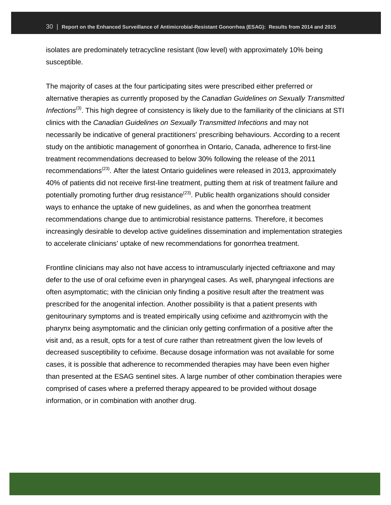isolates are predominately tetracycline resistant (low level) with approximately 10% being susceptible.

The majority of cases at the four participating sites were prescribed either preferred or alternative therapies as currently proposed by the *Canadian Guidelines on Sexually Transmitted Infections*(3). This high degree of consistency is likely due to the familiarity of the clinicians at STI clinics with the *Canadian Guidelines on Sexually Transmitted Infections* and may not necessarily be indicative of general practitioners' prescribing behaviours. According to a recent study on the antibiotic management of gonorrhea in Ontario, Canada, adherence to first-line treatment recommendations decreased to below 30% following the release of the 2011 recommendations<sup>(23)</sup>. After the latest Ontario guidelines were released in 2013, approximately 40% of patients did not receive first-line treatment, putting them at risk of treatment failure and potentially promoting further drug resistance<sup>(23)</sup>. Public health organizations should consider ways to enhance the uptake of new guidelines, as and when the gonorrhea treatment recommendations change due to antimicrobial resistance patterns. Therefore, it becomes increasingly desirable to develop active guidelines dissemination and implementation strategies to accelerate clinicians' uptake of new recommendations for gonorrhea treatment.

Frontline clinicians may also not have access to intramuscularly injected ceftriaxone and may defer to the use of oral cefixime even in pharyngeal cases. As well, pharyngeal infections are often asymptomatic; with the clinician only finding a positive result after the treatment was prescribed for the anogenital infection. Another possibility is that a patient presents with genitourinary symptoms and is treated empirically using cefixime and azithromycin with the pharynx being asymptomatic and the clinician only getting confirmation of a positive after the visit and, as a result, opts for a test of cure rather than retreatment given the low levels of decreased susceptibility to cefixime. Because dosage information was not available for some cases, it is possible that adherence to recommended therapies may have been even higher than presented at the ESAG sentinel sites. A large number of other combination therapies were comprised of cases where a preferred therapy appeared to be provided without dosage information, or in combination with another drug.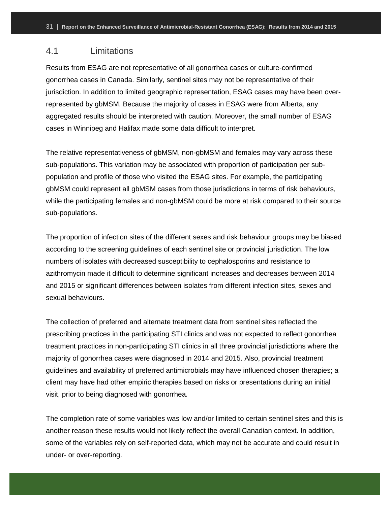### <span id="page-33-0"></span>4.1 Limitations

Results from ESAG are not representative of all gonorrhea cases or culture-confirmed gonorrhea cases in Canada. Similarly, sentinel sites may not be representative of their jurisdiction. In addition to limited geographic representation, ESAG cases may have been overrepresented by gbMSM. Because the majority of cases in ESAG were from Alberta, any aggregated results should be interpreted with caution. Moreover, the small number of ESAG cases in Winnipeg and Halifax made some data difficult to interpret.

The relative representativeness of gbMSM, non-gbMSM and females may vary across these sub-populations. This variation may be associated with proportion of participation per subpopulation and profile of those who visited the ESAG sites. For example, the participating gbMSM could represent all gbMSM cases from those jurisdictions in terms of risk behaviours, while the participating females and non-gbMSM could be more at risk compared to their source sub-populations.

The proportion of infection sites of the different sexes and risk behaviour groups may be biased according to the screening guidelines of each sentinel site or provincial jurisdiction. The low numbers of isolates with decreased susceptibility to cephalosporins and resistance to azithromycin made it difficult to determine significant increases and decreases between 2014 and 2015 or significant differences between isolates from different infection sites, sexes and sexual behaviours.

The collection of preferred and alternate treatment data from sentinel sites reflected the prescribing practices in the participating STI clinics and was not expected to reflect gonorrhea treatment practices in non-participating STI clinics in all three provincial jurisdictions where the majority of gonorrhea cases were diagnosed in 2014 and 2015. Also, provincial treatment guidelines and availability of preferred antimicrobials may have influenced chosen therapies; a client may have had other empiric therapies based on risks or presentations during an initial visit, prior to being diagnosed with gonorrhea.

The completion rate of some variables was low and/or limited to certain sentinel sites and this is another reason these results would not likely reflect the overall Canadian context. In addition, some of the variables rely on self-reported data, which may not be accurate and could result in under- or over-reporting.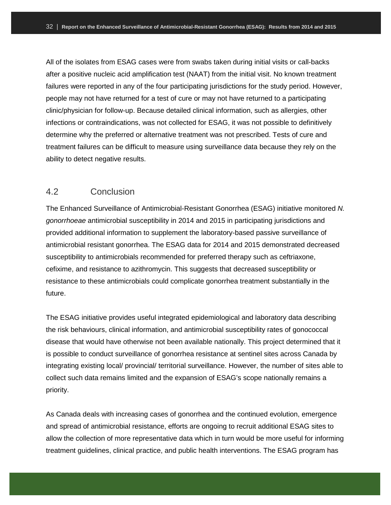All of the isolates from ESAG cases were from swabs taken during initial visits or call-backs after a positive nucleic acid amplification test (NAAT) from the initial visit. No known treatment failures were reported in any of the four participating jurisdictions for the study period. However, people may not have returned for a test of cure or may not have returned to a participating clinic/physician for follow-up. Because detailed clinical information, such as allergies, other infections or contraindications, was not collected for ESAG, it was not possible to definitively determine why the preferred or alternative treatment was not prescribed. Tests of cure and treatment failures can be difficult to measure using surveillance data because they rely on the ability to detect negative results.

#### <span id="page-34-0"></span>4.2 Conclusion

The Enhanced Surveillance of Antimicrobial-Resistant Gonorrhea (ESAG) initiative monitored *N. gonorrhoeae* antimicrobial susceptibility in 2014 and 2015 in participating jurisdictions and provided additional information to supplement the laboratory-based passive surveillance of antimicrobial resistant gonorrhea. The ESAG data for 2014 and 2015 demonstrated decreased susceptibility to antimicrobials recommended for preferred therapy such as ceftriaxone, cefixime, and resistance to azithromycin. This suggests that decreased susceptibility or resistance to these antimicrobials could complicate gonorrhea treatment substantially in the future.

The ESAG initiative provides useful integrated epidemiological and laboratory data describing the risk behaviours, clinical information, and antimicrobial susceptibility rates of gonococcal disease that would have otherwise not been available nationally. This project determined that it is possible to conduct surveillance of gonorrhea resistance at sentinel sites across Canada by integrating existing local/ provincial/ territorial surveillance. However, the number of sites able to collect such data remains limited and the expansion of ESAG's scope nationally remains a priority.

As Canada deals with increasing cases of gonorrhea and the continued evolution, emergence and spread of antimicrobial resistance, efforts are ongoing to recruit additional ESAG sites to allow the collection of more representative data which in turn would be more useful for informing treatment guidelines, clinical practice, and public health interventions. The ESAG program has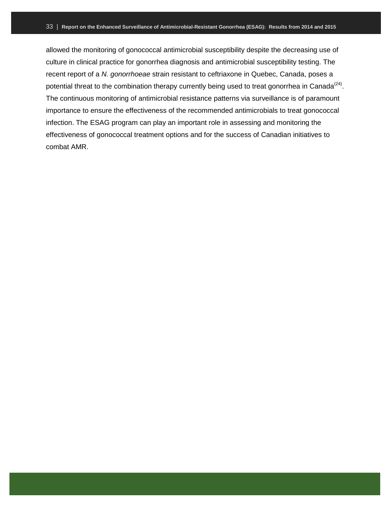allowed the monitoring of gonococcal antimicrobial susceptibility despite the decreasing use of culture in clinical practice for gonorrhea diagnosis and antimicrobial susceptibility testing. The recent report of a *N. gonorrhoeae* strain resistant to ceftriaxone in Quebec, Canada, poses a potential threat to the combination therapy currently being used to treat gonorrhea in Canada<sup>(24)</sup>. The continuous monitoring of antimicrobial resistance patterns via surveillance is of paramount importance to ensure the effectiveness of the recommended antimicrobials to treat gonococcal infection. The ESAG program can play an important role in assessing and monitoring the effectiveness of gonococcal treatment options and for the success of Canadian initiatives to combat AMR.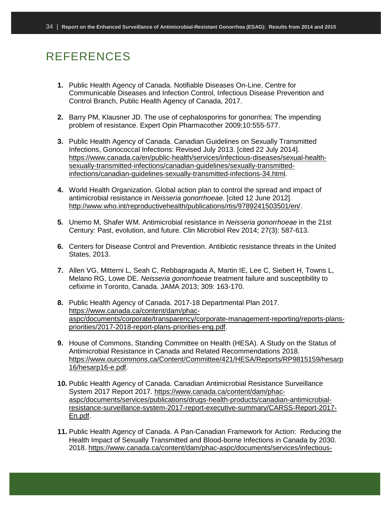# <span id="page-36-0"></span>REFERENCES

- **1.** Public Health Agency of Canada. Notifiable Diseases On-Line. Centre for Communicable Diseases and Infection Control, Infectious Disease Prevention and Control Branch, Public Health Agency of Canada, 2017.
- **2.** Barry PM, Klausner JD. The use of cephalosporins for gonorrhea: The impending problem of resistance. Expert Opin Pharmacother 2009;10:555-577.
- **3.** Public Health Agency of Canada. Canadian Guidelines on Sexually Transmitted Infections, Gonococcal Infections: Revised July 2013. [cited 22 July 2014]. [https://www.canada.ca/en/public-health/services/infectious-diseases/sexual-health](https://www.canada.ca/en/public-health/services/infectious-diseases/sexual-health-sexually-transmitted-infections/canadian-guidelines/sexually-transmitted-infections/canadian-guidelines-sexually-transmitted-infections-34.html)[sexually-transmitted-infections/canadian-guidelines/sexually-transmitted](https://www.canada.ca/en/public-health/services/infectious-diseases/sexual-health-sexually-transmitted-infections/canadian-guidelines/sexually-transmitted-infections/canadian-guidelines-sexually-transmitted-infections-34.html)[infections/canadian-guidelines-sexually-transmitted-infections-34.html.](https://www.canada.ca/en/public-health/services/infectious-diseases/sexual-health-sexually-transmitted-infections/canadian-guidelines/sexually-transmitted-infections/canadian-guidelines-sexually-transmitted-infections-34.html)
- **4.** World Health Organization. Global action plan to control the spread and impact of antimicrobial resistance in *Neisseria gonorrhoeae*. [cited 12 June 2012]. [http://www.who.int/reproductivehealth/publications/rtis/9789241503501/en/.](http://www.who.int/reproductivehealth/publications/rtis/9789241503501/en/)
- **5.** Unemo M, Shafer WM. Antimicrobial resistance in *Neisseria gonorrhoeae* in the 21st Century: Past, evolution, and future. Clin Microbiol Rev 2014; 27(3): 587-613.
- **6.** Centers for Disease Control and Prevention. Antibiotic resistance threats in the United States, 2013.
- **7.** Allen VG, Mitterni L, Seah C, Rebbapragada A, Martin IE, Lee C, Siebert H, Towns L, Melano RG, Lowe DE. *Neisseria gonorrhoeae* treatment failure and susceptibility to cefixime in Toronto, Canada. JAMA 2013; 309: 163-170.
- **8.** Public Health Agency of Canada. 2017-18 Departmental Plan 2017. [https://www.canada.ca/content/dam/phac](https://www.canada.ca/content/dam/phac-aspc/documents/corporate/transparency/corporate-management-reporting/reports-plans-priorities/2017-2018-report-plans-priorities-eng.pdf)[aspc/documents/corporate/transparency/corporate-management-reporting/reports-plans](https://www.canada.ca/content/dam/phac-aspc/documents/corporate/transparency/corporate-management-reporting/reports-plans-priorities/2017-2018-report-plans-priorities-eng.pdf)[priorities/2017-2018-report-plans-priorities-eng.pdf.](https://www.canada.ca/content/dam/phac-aspc/documents/corporate/transparency/corporate-management-reporting/reports-plans-priorities/2017-2018-report-plans-priorities-eng.pdf)
- **9.** House of Commons, Standing Committee on Health (HESA). A Study on the Status of Antimicrobial Resistance in Canada and Related Recommendations 2018. [https://www.ourcommons.ca/Content/Committee/421/HESA/Reports/RP9815159/hesarp](https://www.ourcommons.ca/Content/Committee/421/HESA/Reports/RP9815159/hesarp16/hesarp16-e.pdf) [16/hesarp16-e.pdf.](https://www.ourcommons.ca/Content/Committee/421/HESA/Reports/RP9815159/hesarp16/hesarp16-e.pdf)
- **10.** Public Health Agency of Canada. Canadian Antimicrobial Resistance Surveillance System 2017 Report 2017. [https://www.canada.ca/content/dam/phac](https://www.canada.ca/content/dam/phac-aspc/documents/services/publications/drugs-health-products/canadian-antimicrobial-resistance-surveillance-system-2017-report-executive-summary/CARSS-Report-2017-En.pdf)[aspc/documents/services/publications/drugs-health-products/canadian-antimicrobial](https://www.canada.ca/content/dam/phac-aspc/documents/services/publications/drugs-health-products/canadian-antimicrobial-resistance-surveillance-system-2017-report-executive-summary/CARSS-Report-2017-En.pdf)[resistance-surveillance-system-2017-report-executive-summary/CARSS-Report-2017-](https://www.canada.ca/content/dam/phac-aspc/documents/services/publications/drugs-health-products/canadian-antimicrobial-resistance-surveillance-system-2017-report-executive-summary/CARSS-Report-2017-En.pdf) [En.pdf.](https://www.canada.ca/content/dam/phac-aspc/documents/services/publications/drugs-health-products/canadian-antimicrobial-resistance-surveillance-system-2017-report-executive-summary/CARSS-Report-2017-En.pdf)
- **11.** Public Health Agency of Canada. A Pan-Canadian Framework for Action: Reducing the Health Impact of Sexually Transmitted and Blood-borne Infections in Canada by 2030. 2018. [https://www.canada.ca/content/dam/phac-aspc/documents/services/infectious-](https://www.canada.ca/content/dam/phac-aspc/documents/services/infectious-diseases/sexual-health-sexually-transmitted-infections/reports-publications/sexually-transmitted-blood-borne-infections-action-framework/sexually-transmitted-blood-borne-infections-action-framework.pdf)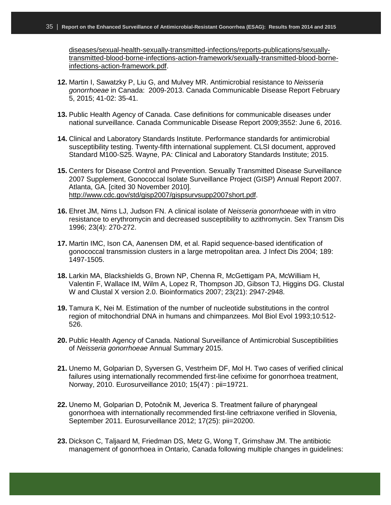[diseases/sexual-health-sexually-transmitted-infections/reports-publications/sexually](https://www.canada.ca/content/dam/phac-aspc/documents/services/infectious-diseases/sexual-health-sexually-transmitted-infections/reports-publications/sexually-transmitted-blood-borne-infections-action-framework/sexually-transmitted-blood-borne-infections-action-framework.pdf)[transmitted-blood-borne-infections-action-framework/sexually-transmitted-blood-borne](https://www.canada.ca/content/dam/phac-aspc/documents/services/infectious-diseases/sexual-health-sexually-transmitted-infections/reports-publications/sexually-transmitted-blood-borne-infections-action-framework/sexually-transmitted-blood-borne-infections-action-framework.pdf)[infections-action-framework.pdf.](https://www.canada.ca/content/dam/phac-aspc/documents/services/infectious-diseases/sexual-health-sexually-transmitted-infections/reports-publications/sexually-transmitted-blood-borne-infections-action-framework/sexually-transmitted-blood-borne-infections-action-framework.pdf)

- **12.** Martin I, Sawatzky P, Liu G, and Mulvey MR. Antimicrobial resistance to *Neisseria gonorrhoeae* in Canada: 2009-2013. Canada Communicable Disease Report February 5, 2015; 41-02: 35-41.
- **13.** Public Health Agency of Canada. Case definitions for communicable diseases under national surveillance. Canada Communicable Disease Report 2009;3552: June 6, 2016.
- **14.** Clinical and Laboratory Standards Institute. Performance standards for antimicrobial susceptibility testing. Twenty-fifth international supplement. CLSI document, approved Standard M100-S25. Wayne, PA: Clinical and Laboratory Standards Institute; 2015.
- **15.** Centers for Disease Control and Prevention. Sexually Transmitted Disease Surveillance 2007 Supplement, Gonococcal Isolate Surveillance Project (GISP) Annual Report 2007. Atlanta, GA. [cited 30 November 2010]. [http://www.cdc.gov/std/gisp2007/gispsurvsupp2007short.pdf.](http://www.cdc.gov/std/gisp2007/gispsurvsupp2007short.pdf)
- **16.** Ehret JM, Nims LJ, Judson FN. A clinical isolate of *Neisseria gonorrhoeae* with in vitro resistance to erythromycin and decreased susceptibility to azithromycin. Sex Transm Dis 1996; 23(4): 270-272.
- **17.** Martin IMC, Ison CA, Aanensen DM, et al. Rapid sequence-based identification of gonococcal transmission clusters in a large metropolitan area. J Infect Dis 2004; 189: 1497-1505.
- **18.** Larkin MA, Blackshields G, Brown NP, Chenna R, McGettigam PA, McWilliam H, Valentin F, Wallace IM, Wilm A, Lopez R, Thompson JD, Gibson TJ, Higgins DG. Clustal W and Clustal X version 2.0. Bioinformatics 2007; 23(21): 2947-2948.
- **19.** Tamura K, Nei M. Estimation of the number of nucleotide substitutions in the control region of mitochondrial DNA in humans and chimpanzees. Mol Biol Evol 1993;10:512- 526.
- **20.** Public Health Agency of Canada. National Surveillance of Antimicrobial Susceptibilities of *Neisseria gonorrhoeae* Annual Summary 2015.
- **21.** Unemo M, Golparian D, Syversen G, Vestrheim DF, Mol H. Two cases of verified clinical failures using internationally recommended first-line cefixime for gonorrhoea treatment, Norway, 2010. Eurosurveillance 2010; 15(47) : pii=19721.
- **22.** Unemo M, Golparian D, Potočnik M, Jeverica S. Treatment failure of pharyngeal gonorrhoea with internationally recommended first-line ceftriaxone verified in Slovenia, September 2011. Eurosurveillance 2012; 17(25): pii=20200.
- **23.** Dickson C, Taljaard M, Friedman DS, Metz G, Wong T, Grimshaw JM. The antibiotic management of gonorrhoea in Ontario, Canada following multiple changes in guidelines: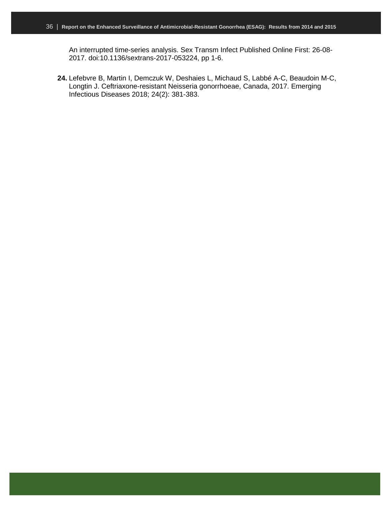An interrupted time-series analysis. Sex Transm Infect Published Online First: 26-08- 2017. doi:10.1136/sextrans-2017-053224, pp 1-6.

**24.** Lefebvre B, Martin I, Demczuk W, Deshaies L, Michaud S, Labbé A-C, Beaudoin M-C, Longtin J. Ceftriaxone-resistant Neisseria gonorrhoeae, Canada, 2017. Emerging Infectious Diseases 2018; 24(2): 381-383.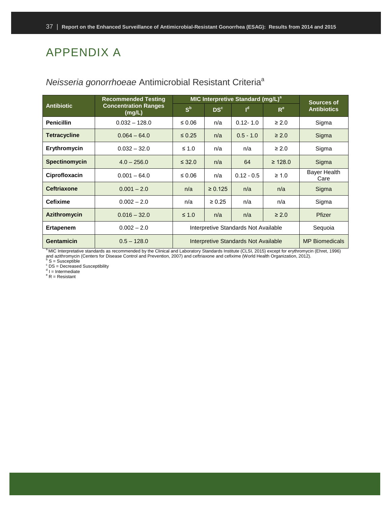# <span id="page-39-0"></span>APPENDIX A

|                     | <b>Recommended Testing</b>                                                                                                                                                   | MIC Interpretive Standard (mg/L) <sup>a</sup> | <b>Sources of</b>                    |                |              |                             |  |
|---------------------|------------------------------------------------------------------------------------------------------------------------------------------------------------------------------|-----------------------------------------------|--------------------------------------|----------------|--------------|-----------------------------|--|
| <b>Antibiotic</b>   | <b>Concentration Ranges</b><br>(mg/L)                                                                                                                                        | $S^b$                                         | DS <sup>c</sup>                      | I <sub>d</sub> | $R^e$        | <b>Antibiotics</b>          |  |
| <b>Penicillin</b>   | $0.032 - 128.0$                                                                                                                                                              | ≤ 0.06                                        | n/a                                  | $0.12 - 1.0$   | $\geq 2.0$   | Sigma                       |  |
| <b>Tetracycline</b> | $0.064 - 64.0$                                                                                                                                                               | $\leq 0.25$                                   | n/a                                  | $0.5 - 1.0$    | $\geq 2.0$   | Sigma                       |  |
| Erythromycin        | $0.032 - 32.0$                                                                                                                                                               | ≤ 1.0                                         | n/a                                  | n/a            | $\geq 2.0$   | Sigma                       |  |
| Spectinomycin       | $4.0 - 256.0$                                                                                                                                                                | $\leq$ 32.0                                   | 64<br>n/a                            |                | $\geq 128.0$ | Sigma                       |  |
| Ciprofloxacin       | $0.001 - 64.0$                                                                                                                                                               | $\leq 0.06$                                   | n/a                                  | $0.12 - 0.5$   | $\geq 1.0$   | <b>Bayer Health</b><br>Care |  |
| <b>Ceftriaxone</b>  | $0.001 - 2.0$                                                                                                                                                                | n/a                                           | $\ge 0.125$                          | n/a            | n/a          | Sigma                       |  |
| <b>Cefixime</b>     | $0.002 - 2.0$                                                                                                                                                                | n/a                                           | $\ge 0.25$                           | n/a            | n/a          | Sigma                       |  |
| <b>Azithromycin</b> | $0.016 - 32.0$                                                                                                                                                               | $\leq 1.0$                                    | n/a                                  | n/a            | $\geq 2.0$   | Pfizer                      |  |
| <b>Ertapenem</b>    | $0.002 - 2.0$                                                                                                                                                                |                                               | Interpretive Standards Not Available |                |              |                             |  |
| <b>Gentamicin</b>   | $0.5 - 128.0$<br><sup>a</sup> MIC Interpretative standards as recommended by the Clinical and Laboratory Standards Institute (CLSL 2015) except for enthromycin (Ebrot 1006) | Interpretive Standards Not Available          | <b>MP</b> Biomedicals                |                |              |                             |  |

### <span id="page-39-1"></span>*Neisseria gonorrhoeae* Antimicrobial Resistant Criteria<sup>a</sup>

<sup>a</sup> MIC Interpretative standards as recommended by the Clinical and Laboratory Standards Institute (CLSI, 2015) except for erythromycin (Ehret, 1996) and azithromycin (Centers for Disease Control and Prevention, 2007) and ceftriaxone and cefixime (World Health Organization, 2012).<br><sup>b</sup> S = Susceptible

<sup>c</sup> DS = Decreased Susceptibility

<sup>d</sup> I = Intermediate<br><sup>e</sup> R = Resistant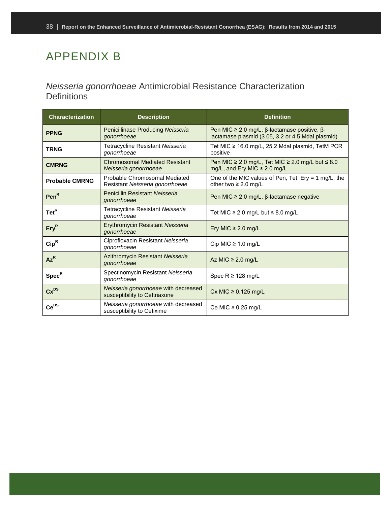# <span id="page-40-0"></span>APPENDIX B

### <span id="page-40-1"></span>*Neisseria gonorrhoeae* Antimicrobial Resistance Characterization **Definitions**

| <b>Characterization</b>   | <b>Description</b>                                                    | <b>Definition</b>                                                                                      |
|---------------------------|-----------------------------------------------------------------------|--------------------------------------------------------------------------------------------------------|
| <b>PPNG</b>               | Penicillinase Producing Neisseria<br>gonorrhoeae                      | Pen MIC $\geq$ 2.0 mg/L, β-lactamase positive, β-<br>lactamase plasmid (3.05, 3.2 or 4.5 Mdal plasmid) |
| <b>TRNG</b>               | Tetracycline Resistant Neisseria<br>gonorrhoeae                       | Tet MIC ≥ 16.0 mg/L, 25.2 Mdal plasmid, TetM PCR<br>positive                                           |
| <b>CMRNG</b>              | <b>Chromosomal Mediated Resistant</b><br>Neisseria gonorrhoeae        | Pen MIC $\geq$ 2.0 mg/L, Tet MIC $\geq$ 2.0 mg/L but $\leq$ 8.0<br>mg/L, and Ery MIC $\geq$ 2.0 mg/L   |
| <b>Probable CMRNG</b>     | Probable Chromosomal Mediated<br>Resistant Neisseria gonorrhoeae      | One of the MIC values of Pen, Tet, Ery = 1 mg/L, the<br>other two $\geq 2.0$ mg/L                      |
| Pen <sup>R</sup>          | Penicillin Resistant Neisseria<br>gonorrhoeae                         | Pen MIC $\geq$ 2.0 mg/L, $\beta$ -lactamase negative                                                   |
| $\text{Tet}^R$            | Tetracycline Resistant Neisseria<br>gonorrhoeae                       | Tet MIC ≥ 2.0 mg/L but $\leq$ 8.0 mg/L                                                                 |
| Ery <sup>R</sup>          | <b>Erythromycin Resistant Neisseria</b><br>gonorrhoeae                | Ery MIC $\geq$ 2.0 mg/L                                                                                |
| $\mathsf{Cip}^\mathsf{R}$ | Ciprofloxacin Resistant Neisseria<br>gonorrhoeae                      | Cip MIC $\geq$ 1.0 mg/L                                                                                |
| $Az^R$                    | Azithromycin Resistant Neisseria<br>gonorrhoeae                       | Az MIC $\geq$ 2.0 mg/L                                                                                 |
| $Spec^R$                  | Spectinomycin Resistant Neisseria<br>gonorrhoeae                      | Spec $R \ge 128$ mg/L                                                                                  |
| $Cx^{DS}$                 | Neisseria gonorrhoeae with decreased<br>susceptibility to Ceftriaxone | Cx MIC $\geq$ 0.125 mg/L                                                                               |
| $Ce^{DS}$                 | Neisseria gonorrhoeae with decreased<br>susceptibility to Cefixime    | Ce MIC $\geq$ 0.25 mg/L                                                                                |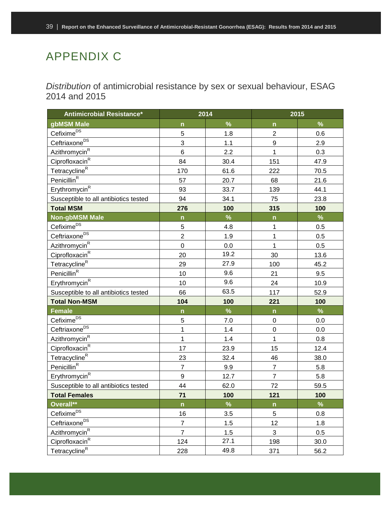# <span id="page-41-0"></span>APPENDIX C

<span id="page-41-1"></span>*Distribution* of antimicrobial resistance by sex or sexual behaviour, ESAG 2014 and 2015

| <b>Antimicrobial Resistance*</b>      |                         | 2014 | 2015           |      |  |
|---------------------------------------|-------------------------|------|----------------|------|--|
| gbMSM Male                            | $\mathsf{n}$            | $\%$ | $\mathsf{n}$   | $\%$ |  |
| Cefixime <sup>DS</sup>                | 5                       | 1.8  | $\overline{c}$ | 0.6  |  |
| Ceftriaxone <sup>DS</sup>             | 3                       | 1.1  | 9              | 2.9  |  |
| Azithromycin <sup>R</sup>             | 6                       | 2.2  | $\mathbf 1$    | 0.3  |  |
| Ciprofloxacin <sup>R</sup>            | 84                      | 30.4 | 151            | 47.9 |  |
| Tetracycline <sup>R</sup>             | 170                     | 61.6 | 222            | 70.5 |  |
| Penicillin <sup>R</sup>               | 57                      | 20.7 | 68             | 21.6 |  |
| Erythromycin <sup>R</sup>             | 93                      | 33.7 | 139            | 44.1 |  |
| Susceptible to all antibiotics tested | 94                      | 34.1 | 75             | 23.8 |  |
| <b>Total MSM</b>                      | 276                     | 100  | 315            | 100  |  |
| <b>Non-gbMSM Male</b>                 | $\mathsf{n}$            | $\%$ | $\mathsf{n}$   | %    |  |
| Cefixime <sup>DS</sup>                | 5                       | 4.8  | $\mathbf 1$    | 0.5  |  |
| Ceftriaxone <sup>DS</sup>             | $\overline{2}$          | 1.9  | 1              | 0.5  |  |
| Azithromycin <sup>R</sup>             | $\mathsf 0$             | 0.0  | $\overline{1}$ | 0.5  |  |
| Ciprofloxacin <sup>R</sup>            | 20                      | 19.2 | 30             | 13.6 |  |
| <u>Tetracycli</u> ne <sup>R</sup>     | 29                      | 27.9 | 100            | 45.2 |  |
| Penicillin <sup>R</sup>               | 10                      | 9.6  | 21             | 9.5  |  |
| Erythromycin <sup>R</sup>             | 10                      | 9.6  | 24             | 10.9 |  |
| Susceptible to all antibiotics tested | 66                      | 63.5 | 117            | 52.9 |  |
| <b>Total Non-MSM</b>                  | 104                     | 100  | 221            | 100  |  |
| <b>Female</b>                         | $\overline{\mathsf{n}}$ | $\%$ | $\mathsf{n}$   | %    |  |
| Cefixime <sup>DS</sup>                | 5                       | 7.0  | $\mathsf 0$    | 0.0  |  |
| Ceftriaxone <sup>DS</sup>             | $\mathbf{1}$            | 1.4  | $\mathbf 0$    | 0.0  |  |
| Azithromycin <sup>R</sup>             | 1                       | 1.4  | $\mathbf{1}$   | 0.8  |  |
| Ciprofloxacin <sup>R</sup>            | 17                      | 23.9 | 15             | 12.4 |  |
| Tetracycline <sup>R</sup>             | 23                      | 32.4 | 46             | 38.0 |  |
| Penicillin <sup>R</sup>               | $\overline{7}$          | 9.9  | $\overline{7}$ | 5.8  |  |
| Erythromycin <sup>R</sup>             | 9                       | 12.7 | $\overline{7}$ | 5.8  |  |
| Susceptible to all antibiotics tested | 44                      | 62.0 | 72             | 59.5 |  |
| <b>Total Females</b>                  | 71                      | 100  | 121            | 100  |  |
| Overall**                             | $\mathsf{n}$            | $\%$ | $\mathsf{n}$   | $\%$ |  |
| Cefixime <sup>DS</sup>                | 16                      | 3.5  | 5              | 0.8  |  |
| Ceftriaxone <sup>DS</sup>             | $\overline{7}$          | 1.5  | 12             | 1.8  |  |
| Azithromycin <sup>R</sup>             | $\overline{7}$          | 1.5  | 3              | 0.5  |  |
| Ciprofloxacin <sup>R</sup>            | 124                     | 27.1 | 198            | 30.0 |  |
| Tetracycline <sup>R</sup>             | 228                     | 49.8 | 371            | 56.2 |  |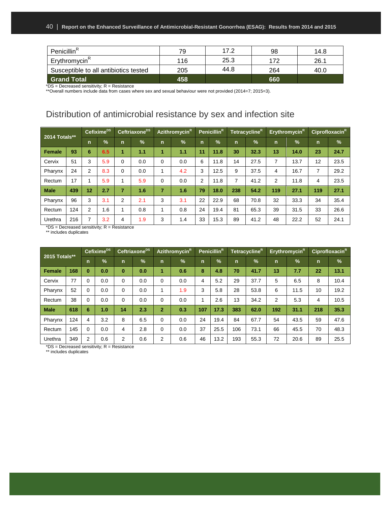| Penicillin <sup>R</sup>               | 79  | 17.2 | 98  | 14.8 |
|---------------------------------------|-----|------|-----|------|
| Erythromycin <sup>R</sup>             | 116 | 25.3 | 172 | 26.1 |
| Susceptible to all antibiotics tested | 205 | 44.8 | 264 | 40.0 |
| <b>Grand Total</b>                    | 458 |      | 660 |      |

 $*$ DS = Decreased sensitivity;  $R$  = Resistance

\*\*Overall numbers include data from cases where sex and sexual behaviour were not provided (2014=7; 2015=3).

### <span id="page-42-0"></span>Distribution of antimicrobial resistance by sex and infection site

| 2014 Totals** |     | Cefixime <sup>DS</sup> |               | Ceftriaxone <sup>DS</sup> |     | Azithromycin <sup>R1</sup> |     | Penicillin <sup>R</sup> |               | Tetracycline <sup>R1</sup> |      | Erythromycin <sup>R</sup> |      | Ciprofloxacin <sup>R</sup> |               |
|---------------|-----|------------------------|---------------|---------------------------|-----|----------------------------|-----|-------------------------|---------------|----------------------------|------|---------------------------|------|----------------------------|---------------|
|               |     | n                      | $\frac{9}{6}$ | $\mathsf{n}$              | %   | $\mathsf{n}$               | %   | $\mathsf{n}$            | $\frac{9}{6}$ | $\mathsf{n}$               | $\%$ | $\mathsf{n}$              | $\%$ | $\mathbf n$                | $\frac{9}{6}$ |
| <b>Female</b> | 93  | 6                      | 6.5           | 1                         | 1.1 |                            | 1.1 | 11                      | 11.8          | 30                         | 32.3 | 13                        | 14.0 | 23                         | 24.7          |
| Cervix        | 51  | 3                      | 5.9           | $\Omega$                  | 0.0 | $\Omega$                   | 0.0 | 6                       | 11.8          | 14                         | 27.5 | 7                         | 13.7 | 12                         | 23.5          |
| Pharynx       | 24  | 2                      | 8.3           | 0                         | 0.0 |                            | 4.2 | 3                       | 12.5          | 9                          | 37.5 | 4                         | 16.7 | 7                          | 29.2          |
| Rectum        | 17  |                        | 5.9           | $\overline{A}$            | 5.9 | 0                          | 0.0 | 2                       | 11.8          | 7                          | 41.2 | 2                         | 11.8 | 4                          | 23.5          |
| <b>Male</b>   | 439 | 12                     | 2.7           | 7                         | 1.6 | 7                          | 1.6 | 79                      | 18.0          | 238                        | 54.2 | 119                       | 27.1 | 119                        | 27.1          |
| Pharynx       | 96  | 3                      | 3.1           | 2                         | 2.1 | 3                          | 3.1 | 22                      | 22.9          | 68                         | 70.8 | 32                        | 33.3 | 34                         | 35.4          |
| Rectum        | 124 | 2                      | 1.6           | 4                         | 0.8 | 1                          | 0.8 | 24                      | 19.4          | 81                         | 65.3 | 39                        | 31.5 | 33                         | 26.6          |
| Urethra       | 216 | ⇁                      | 3.2           | 4                         | 1.9 | 3                          | 1.4 | 33                      | 15.3          | 89                         | 41.2 | 48                        | 22.2 | 52                         | 24.1          |

\*DS = Decreased sensitivity; R = Resistance

\*\* includes duplicates

| 2015 Totals**    |     | Cefixime <sup>DS</sup> |               | Ceftriaxone <sup>Ds</sup> |               | Azithromycin <sup>R</sup> |     | Penicillin <sup>R</sup> |               | TetracyclineR |      | Erythromycin <sup>R1</sup> |      | Ciprofloxacin <sup>R</sup> |               |
|------------------|-----|------------------------|---------------|---------------------------|---------------|---------------------------|-----|-------------------------|---------------|---------------|------|----------------------------|------|----------------------------|---------------|
|                  |     | $\mathsf{n}$           | $\frac{9}{6}$ | $\mathsf{n}$              | $\frac{1}{2}$ | n                         | %   | n                       | $\frac{9}{6}$ | n             | $\%$ | $\mathsf{n}$               | $\%$ | n                          | $\frac{9}{6}$ |
| <b>Female</b>    | 168 | $\bf{0}$               | 0.0           | $\bf{0}$                  | 0.0           | 1                         | 0.6 | 8                       | 4.8           | 70            | 41.7 | 13                         | 7.7  | 22                         | 13.1          |
| Cervix           | 77  | $\Omega$               | 0.0           | 0                         | 0.0           | 0                         | 0.0 | 4                       | 5.2           | 29            | 37.7 | 5                          | 6.5  | 8                          | 10.4          |
| Pharynx          | 52  | $\Omega$               | 0.0           | $\Omega$                  | 0.0           |                           | 1.9 | 3                       | 5.8           | 28            | 53.8 | 6                          | 11.5 | 10                         | 19.2          |
| Rectum           | 38  | $\Omega$               | 0.0           | $\Omega$                  | 0.0           | 0                         | 0.0 |                         | 2.6           | 13            | 34.2 | 2                          | 5.3  | 4                          | 10.5          |
| <b>Male</b>      | 618 | 6                      | 1.0           | 14                        | 2.3           | $\overline{2}$            | 0.3 | 107                     | 17.3          | 383           | 62.0 | 192                        | 31.1 | 218                        | 35.3          |
| Pharynx          | 124 | 4                      | 3.2           | 8                         | 6.5           | 0                         | 0.0 | 24                      | 19.4          | 84            | 67.7 | 54                         | 43.5 | 59                         | 47.6          |
| Rectum           | 145 | $\Omega$               | 0.0           | 4                         | 2.8           | 0                         | 0.0 | 37                      | 25.5          | 106           | 73.1 | 66                         | 45.5 | 70                         | 48.3          |
| Urethra<br>$  -$ | 349 | 2                      | 0.6           | 2                         | 0.6           | 2                         | 0.6 | 46                      | 13.2          | 193           | 55.3 | 72                         | 20.6 | 89                         | 25.5          |

\*DS = Decreased sensitivity; R = Resistance

\*\* includes duplicates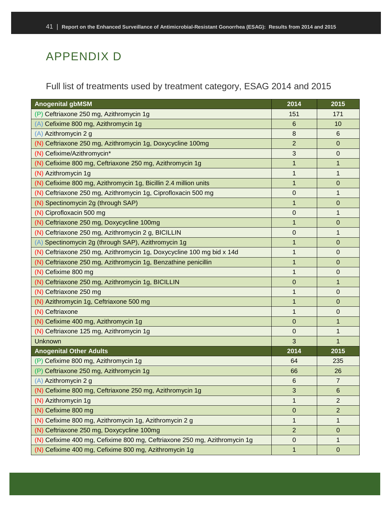# <span id="page-43-0"></span>APPENDIX D

<span id="page-43-1"></span>Full list of treatments used by treatment category, ESAG 2014 and 2015

| <b>Anogenital gbMSM</b>                                                   | 2014           | 2015           |
|---------------------------------------------------------------------------|----------------|----------------|
| Ceftriaxone 250 mg, Azithromycin 1g<br>(P)                                | 151            | 171            |
| Cefixime 800 mg, Azithromycin 1g                                          | 6              | 10             |
| (A) Azithromycin 2 g                                                      | 8              | 6              |
| (N) Ceftriaxone 250 mg, Azithromycin 1g, Doxycycline 100mg                | $\overline{2}$ | 0              |
| (N) Cefixime/Azithromycin*                                                | 3              | 0              |
| (N) Cefixime 800 mg, Ceftriaxone 250 mg, Azithromycin 1g                  | 1              | 1              |
| (N) Azithromycin 1g                                                       | 1              | 1              |
| (N) Cefixime 800 mg, Azithromycin 1g, Bicillin 2.4 million units          | $\mathbf 1$    | 0              |
| (N) Ceftriaxone 250 mg, Azithromycin 1g, Ciprofloxacin 500 mg             | 0              | 1              |
| (N) Spectinomycin 2g (through SAP)                                        | 1              | 0              |
| (N) Ciprofloxacin 500 mg                                                  | $\mathbf 0$    | 1              |
| (N) Ceftriaxone 250 mg, Doxycycline 100mg                                 | 1              | 0              |
| (N) Ceftriaxone 250 mg, Azithromycin 2 g, BICILLIN                        | 0              | 1              |
| Spectinomycin 2g (through SAP), Azithromycin 1g<br>(A)                    | $\mathbf 1$    | 0              |
| (N) Ceftriaxone 250 mg, Azithromycin 1g, Doxycycline 100 mg bid x 14d     | 1              | 0              |
| (N) Ceftriaxone 250 mg, Azithromycin 1g, Benzathine penicillin            | $\mathbf 1$    | 0              |
| (N) Cefixime 800 mg                                                       | 1              | 0              |
| (N) Ceftriaxone 250 mg, Azithromycin 1g, BICILLIN                         | $\mathbf 0$    | 1              |
| (N) Ceftriaxone 250 mg                                                    | 1              | 0              |
| (N) Azithromycin 1g, Ceftriaxone 500 mg                                   | $\mathbf 1$    | 0              |
| (N) Ceftriaxone                                                           | 1              | 0              |
| (N) Cefixime 400 mg, Azithromycin 1g                                      | 0              | 1              |
| (N) Ceftriaxone 125 mg, Azithromycin 1g                                   | 0              | 1              |
| Unknown                                                                   | 3              | 1              |
| <b>Anogenital Other Adults</b>                                            | 2014           | 2015           |
| Cefixime 800 mg, Azithromycin 1g<br>(P)                                   | 64             | 235            |
| Ceftriaxone 250 mg, Azithromycin 1g                                       | 66             | 26             |
| (A) Azithromycin 2 g                                                      | 6              | $\overline{7}$ |
| (N) Cefixime 800 mg, Ceftriaxone 250 mg, Azithromycin 1g                  | 3              | 6              |
| (N) Azithromycin 1g                                                       | 1              | 2              |
| (N) Cefixime 800 mg                                                       | 0              | 2              |
| (N) Cefixime 800 mg, Azithromycin 1g, Azithromycin 2 g                    | $\mathbf 1$    | 1              |
| (N) Ceftriaxone 250 mg, Doxycycline 100mg                                 | $\overline{2}$ | 0              |
| (N) Cefixime 400 mg, Cefixime 800 mg, Ceftriaxone 250 mg, Azithromycin 1g | $\mathbf 0$    | 1              |
| (N) Cefixime 400 mg, Cefixime 800 mg, Azithromycin 1g                     | 1              | 0              |